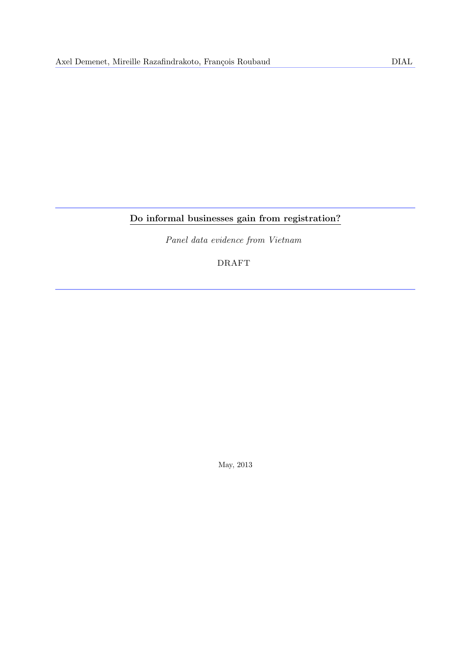# Do informal businesses gain from registration?

Panel data evidence from Vietnam

# DRAFT

May, 2013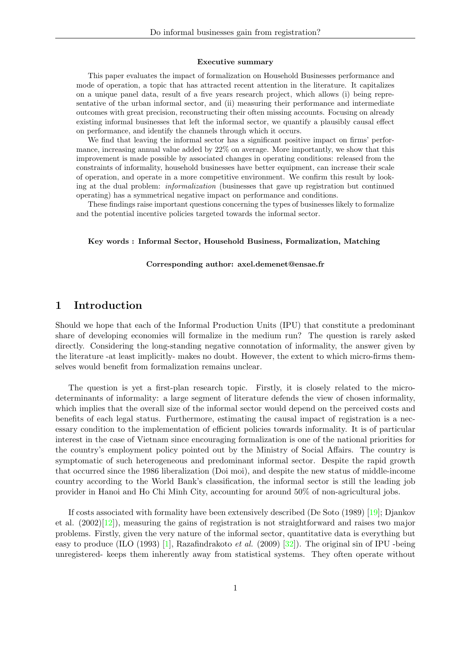#### Executive summary

This paper evaluates the impact of formalization on Household Businesses performance and mode of operation, a topic that has attracted recent attention in the literature. It capitalizes on a unique panel data, result of a five years research project, which allows (i) being representative of the urban informal sector, and (ii) measuring their performance and intermediate outcomes with great precision, reconstructing their often missing accounts. Focusing on already existing informal businesses that left the informal sector, we quantify a plausibly causal effect on performance, and identify the channels through which it occurs.

We find that leaving the informal sector has a significant positive impact on firms' performance, increasing annual value added by 22% on average. More importantly, we show that this improvement is made possible by associated changes in operating conditions: released from the constraints of informality, household businesses have better equipment, can increase their scale of operation, and operate in a more competitive environment. We confirm this result by looking at the dual problem: informalization (businesses that gave up registration but continued operating) has a symmetrical negative impact on performance and conditions.

These findings raise important questions concerning the types of businesses likely to formalize and the potential incentive policies targeted towards the informal sector.

#### Key words : Informal Sector, Household Business, Formalization, Matching

#### Corresponding author: axel.demenet@ensae.fr

### 1 Introduction

Should we hope that each of the Informal Production Units (IPU) that constitute a predominant share of developing economies will formalize in the medium run? The question is rarely asked directly. Considering the long-standing negative connotation of informality, the answer given by the literature -at least implicitly- makes no doubt. However, the extent to which micro-firms themselves would benefit from formalization remains unclear.

The question is yet a first-plan research topic. Firstly, it is closely related to the microdeterminants of informality: a large segment of literature defends the view of chosen informality, which implies that the overall size of the informal sector would depend on the perceived costs and benefits of each legal status. Furthermore, estimating the causal impact of registration is a necessary condition to the implementation of efficient policies towards informality. It is of particular interest in the case of Vietnam since encouraging formalization is one of the national priorities for the country's employment policy pointed out by the Ministry of Social Affairs. The country is symptomatic of such heterogeneous and predominant informal sector. Despite the rapid growth that occurred since the 1986 liberalization (Doi moi), and despite the new status of middle-income country according to the World Bank's classification, the informal sector is still the leading job provider in Hanoi and Ho Chi Minh City, accounting for around 50% of non-agricultural jobs.

If costs associated with formality have been extensively described (De Soto (1989) [\[19\]](#page-30-0); Djankov et al.  $(2002)|12|$ , measuring the gains of registration is not straightforward and raises two major problems. Firstly, given the very nature of the informal sector, quantitative data is everything but easy to produce (ILO (1993) [\[1\]](#page-30-2), Razafindrakoto et al. (2009) [\[32\]](#page-31-0)). The original sin of IPU -being unregistered- keeps them inherently away from statistical systems. They often operate without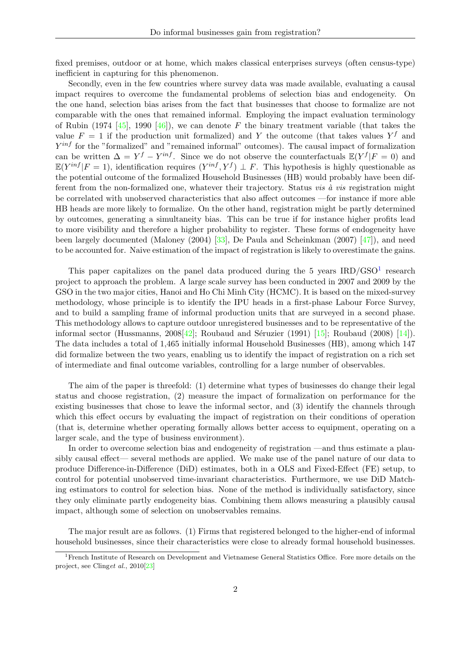fixed premises, outdoor or at home, which makes classical enterprises surveys (often census-type) inefficient in capturing for this phenomenon.

Secondly, even in the few countries where survey data was made available, evaluating a causal impact requires to overcome the fundamental problems of selection bias and endogeneity. On the one hand, selection bias arises from the fact that businesses that choose to formalize are not comparable with the ones that remained informal. Employing the impact evaluation terminology of Rubin (1974 [\[45\]](#page-31-1), 1990 [\[46\]](#page-31-2)), we can denote F the binary treatment variable (that takes the value  $F = 1$  if the production unit formalized) and Y the outcome (that takes values  $Y^f$  and  $Y^{inf}$  for the "formalized" and "remained informal" outcomes). The causal impact of formalization can be written  $\Delta = Y^f - Y^{inf}$ . Since we do not observe the counterfactuals  $\mathbb{E}(Y^f | F = 0)$  and  $\mathbb{E}(Y^{inf}|F=1)$ , identification requires  $(Y^{inf}, Y^f) \perp F$ . This hypothesis is highly questionable as the potential outcome of the formalized Household Businesses (HB) would probably have been different from the non-formalized one, whatever their trajectory. Status *vis*  $\dot{a}$  *vis* registration might be correlated with unobserved characteristics that also affect outcomes —for instance if more able HB heads are more likely to formalize. On the other hand, registration might be partly determined by outcomes, generating a simultaneity bias. This can be true if for instance higher profits lead to more visibility and therefore a higher probability to register. These forms of endogeneity have been largely documented (Maloney (2004) [\[33\]](#page-31-3), De Paula and Scheinkman (2007) [\[47\]](#page-31-4)), and need to be accounted for. Naive estimation of the impact of registration is likely to overestimate the gains.

This paper capitalizes on the panel data produced during the 5 years  $IRD/GSO<sup>1</sup>$  $IRD/GSO<sup>1</sup>$  $IRD/GSO<sup>1</sup>$  research project to approach the problem. A large scale survey has been conducted in 2007 and 2009 by the GSO in the two major cities, Hanoi and Ho Chi Minh City (HCMC). It is based on the mixed-survey methodology, whose principle is to identify the IPU heads in a first-phase Labour Force Survey, and to build a sampling frame of informal production units that are surveyed in a second phase. This methodology allows to capture outdoor unregistered businesses and to be representative of the informal sector (Hussmanns,  $2008[42]$  $2008[42]$ ; Roubaud and Séruzier (1991) [\[15\]](#page-30-3); Roubaud (2008) [\[14\]](#page-30-4)). The data includes a total of 1,465 initially informal Household Businesses (HB), among which 147 did formalize between the two years, enabling us to identify the impact of registration on a rich set of intermediate and final outcome variables, controlling for a large number of observables.

The aim of the paper is threefold: (1) determine what types of businesses do change their legal status and choose registration, (2) measure the impact of formalization on performance for the existing businesses that chose to leave the informal sector, and (3) identify the channels through which this effect occurs by evaluating the impact of registration on their conditions of operation (that is, determine whether operating formally allows better access to equipment, operating on a larger scale, and the type of business environment).

In order to overcome selection bias and endogeneity of registration —and thus estimate a plausibly causal effect— several methods are applied. We make use of the panel nature of our data to produce Difference-in-Difference (DiD) estimates, both in a OLS and Fixed-Effect (FE) setup, to control for potential unobserved time-invariant characteristics. Furthermore, we use DiD Matching estimators to control for selection bias. None of the method is individually satisfactory, since they only eliminate partly endogeneity bias. Combining them allows measuring a plausibly causal impact, although some of selection on unobservables remains.

The major result are as follows. (1) Firms that registered belonged to the higher-end of informal household businesses, since their characteristics were close to already formal household businesses.

<span id="page-2-0"></span><sup>1</sup>French Institute of Research on Development and Vietnamese General Statistics Office. Fore more details on the project, see Clinget al., 2010[\[23\]](#page-30-5)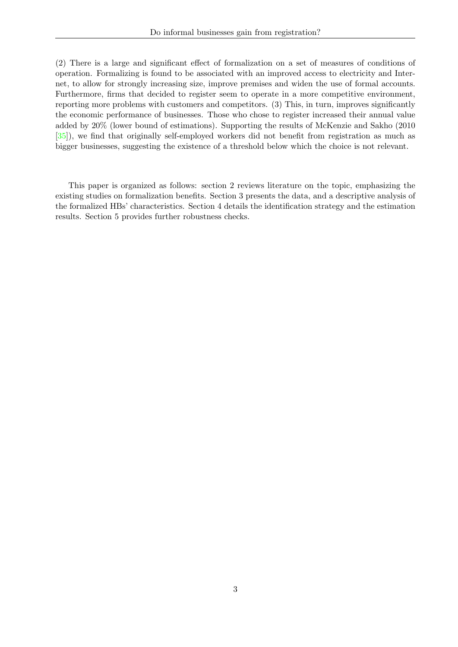(2) There is a large and significant effect of formalization on a set of measures of conditions of operation. Formalizing is found to be associated with an improved access to electricity and Internet, to allow for strongly increasing size, improve premises and widen the use of formal accounts. Furthermore, firms that decided to register seem to operate in a more competitive environment, reporting more problems with customers and competitors. (3) This, in turn, improves significantly the economic performance of businesses. Those who chose to register increased their annual value added by 20% (lower bound of estimations). Supporting the results of McKenzie and Sakho (2010 [\[35\]](#page-31-6)), we find that originally self-employed workers did not benefit from registration as much as bigger businesses, suggesting the existence of a threshold below which the choice is not relevant.

This paper is organized as follows: section 2 reviews literature on the topic, emphasizing the existing studies on formalization benefits. Section 3 presents the data, and a descriptive analysis of the formalized HBs' characteristics. Section 4 details the identification strategy and the estimation results. Section 5 provides further robustness checks.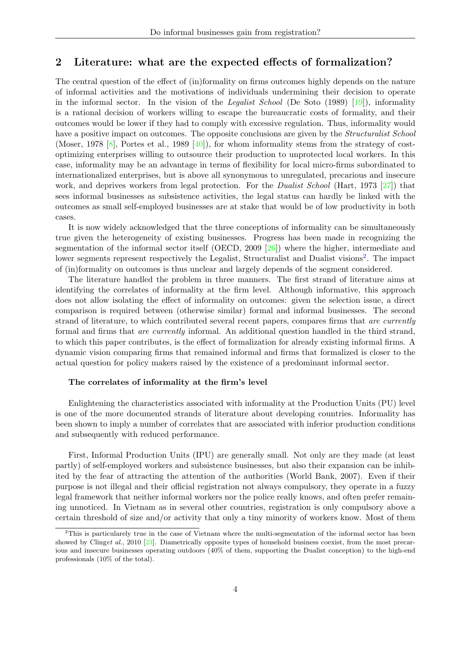### 2 Literature: what are the expected effects of formalization?

The central question of the effect of (in)formality on firms outcomes highly depends on the nature of informal activities and the motivations of individuals undermining their decision to operate in the informal sector. In the vision of the Legalist School (De Soto  $(1989)$  [\[19\]](#page-30-0)), informality is a rational decision of workers willing to escape the bureaucratic costs of formality, and their outcomes would be lower if they had to comply with excessive regulation. Thus, informality would have a positive impact on outcomes. The opposite conclusions are given by the *Structuralist School* (Moser, 1978  $[8]$ , Portes et al., 1989  $[40]$ ), for whom informality stems from the strategy of costoptimizing enterprises willing to outsource their production to unprotected local workers. In this case, informality may be an advantage in terms of flexibility for local micro-firms subordinated to internationalized enterprises, but is above all synonymous to unregulated, precarious and insecure work, and deprives workers from legal protection. For the *Dualist School* (Hart, 1973 [\[27\]](#page-31-8)) that sees informal businesses as subsistence activities, the legal status can hardly be linked with the outcomes as small self-employed businesses are at stake that would be of low productivity in both cases.

It is now widely acknowledged that the three conceptions of informality can be simultaneously true given the heterogeneity of existing businesses. Progress has been made in recognizing the segmentation of the informal sector itself (OECD, 2009 [\[26\]](#page-31-9)) where the higher, intermediate and lower segments represent respectively the Legalist, Structuralist and Dualist visions<sup>[2](#page-4-0)</sup>. The impact of (in)formality on outcomes is thus unclear and largely depends of the segment considered.

The literature handled the problem in three manners. The first strand of literature aims at identifying the correlates of informality at the firm level. Although informative, this approach does not allow isolating the effect of informality on outcomes: given the selection issue, a direct comparison is required between (otherwise similar) formal and informal businesses. The second strand of literature, to which contributed several recent papers, compares firms that are currently formal and firms that are currently informal. An additional question handled in the third strand, to which this paper contributes, is the effect of formalization for already existing informal firms. A dynamic vision comparing firms that remained informal and firms that formalized is closer to the actual question for policy makers raised by the existence of a predominant informal sector.

#### The correlates of informality at the firm's level

Enlightening the characteristics associated with informality at the Production Units (PU) level is one of the more documented strands of literature about developing countries. Informality has been shown to imply a number of correlates that are associated with inferior production conditions and subsequently with reduced performance.

First, Informal Production Units (IPU) are generally small. Not only are they made (at least partly) of self-employed workers and subsistence businesses, but also their expansion can be inhibited by the fear of attracting the attention of the authorities (World Bank, 2007). Even if their purpose is not illegal and their official registration not always compulsory, they operate in a fuzzy legal framework that neither informal workers nor the police really knows, and often prefer remaining unnoticed. In Vietnam as in several other countries, registration is only compulsory above a certain threshold of size and/or activity that only a tiny minority of workers know. Most of them

<span id="page-4-0"></span><sup>&</sup>lt;sup>2</sup>This is particularely true in the case of Vietnam where the multi-segmentation of the informal sector has been showed by Clinget al., 2010 [\[23\]](#page-30-5). Diametrically opposite types of household business coexist, from the most precarious and insecure businesses operating outdoors (40% of them, supporting the Dualist conception) to the high-end professionals (10% of the total).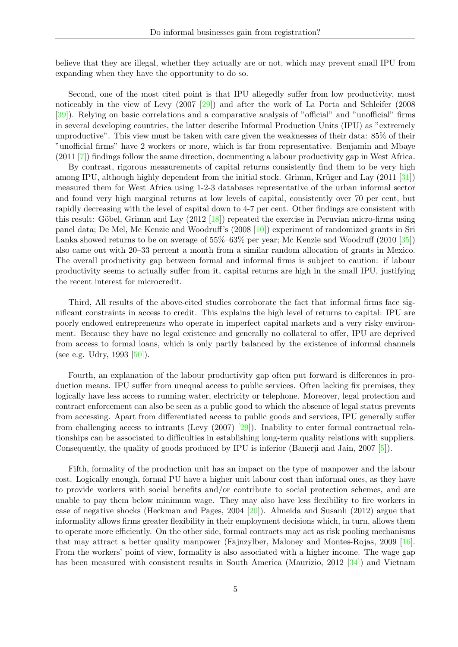believe that they are illegal, whether they actually are or not, which may prevent small IPU from expanding when they have the opportunity to do so.

Second, one of the most cited point is that IPU allegedly suffer from low productivity, most noticeably in the view of Levy (2007 [\[29\]](#page-31-10)) and after the work of La Porta and Schleifer (2008 [\[39\]](#page-31-11)). Relying on basic correlations and a comparative analysis of "official" and "unofficial" firms in several developing countries, the latter describe Informal Production Units (IPU) as "extremely unproductive". This view must be taken with care given the weaknesses of their data: 85% of their "unofficial firms" have 2 workers or more, which is far from representative. Benjamin and Mbaye (2011 [\[7\]](#page-30-7)) findings follow the same direction, documenting a labour productivity gap in West Africa.

By contrast, rigorous measurements of capital returns consistently find them to be very high among IPU, although highly dependent from the initial stock. Grimm, Krüger and Lay  $(2011 \, [31])$  $(2011 \, [31])$  $(2011 \, [31])$ measured them for West Africa using 1-2-3 databases representative of the urban informal sector and found very high marginal returns at low levels of capital, consistently over 70 per cent, but rapidly decreasing with the level of capital down to 4-7 per cent. Other findings are consistent with this result: Göbel, Grimm and Lay  $(2012 \vert 18)$  repeated the exercise in Peruvian micro-firms using panel data; De Mel, Mc Kenzie and Woodruff's (2008 [\[10\]](#page-30-9)) experiment of randomized grants in Sri Lanka showed returns to be on average of 55%–63% per year; Mc Kenzie and Woodruff (2010 [\[35\]](#page-31-6)) also came out with 20–33 percent a month from a similar random allocation of grants in Mexico. The overall productivity gap between formal and informal firms is subject to caution: if labour productivity seems to actually suffer from it, capital returns are high in the small IPU, justifying the recent interest for microcredit.

Third, All results of the above-cited studies corroborate the fact that informal firms face significant constraints in access to credit. This explains the high level of returns to capital: IPU are poorly endowed entrepreneurs who operate in imperfect capital markets and a very risky environment. Because they have no legal existence and generally no collateral to offer, IPU are deprived from access to formal loans, which is only partly balanced by the existence of informal channels (see e.g. Udry,  $1993$  [\[50\]](#page-31-13)).

Fourth, an explanation of the labour productivity gap often put forward is differences in production means. IPU suffer from unequal access to public services. Often lacking fix premises, they logically have less access to running water, electricity or telephone. Moreover, legal protection and contract enforcement can also be seen as a public good to which the absence of legal status prevents from accessing. Apart from differentiated access to public goods and services, IPU generally suffer from challenging access to intrants (Levy (2007) [\[29\]](#page-31-10)). Inability to enter formal contractual relationships can be associated to difficulties in establishing long-term quality relations with suppliers. Consequently, the quality of goods produced by IPU is inferior (Banerji and Jain, 2007 [\[5\]](#page-30-10)).

Fifth, formality of the production unit has an impact on the type of manpower and the labour cost. Logically enough, formal PU have a higher unit labour cost than informal ones, as they have to provide workers with social benefits and/or contribute to social protection schemes, and are unable to pay them below minimum wage. They may also have less flexibility to fire workers in case of negative shocks (Heckman and Pages, 2004 [\[20\]](#page-30-11)). Almeida and Susanlı (2012) argue that informality allows firms greater flexibility in their employment decisions which, in turn, allows them to operate more efficiently. On the other side, formal contracts may act as risk pooling mechanisms that may attract a better quality manpower (Fajnzylber, Maloney and Montes-Rojas, 2009 [\[16\]](#page-30-12). From the workers' point of view, formality is also associated with a higher income. The wage gap has been measured with consistent results in South America (Maurizio, 2012 [\[34\]](#page-31-14)) and Vietnam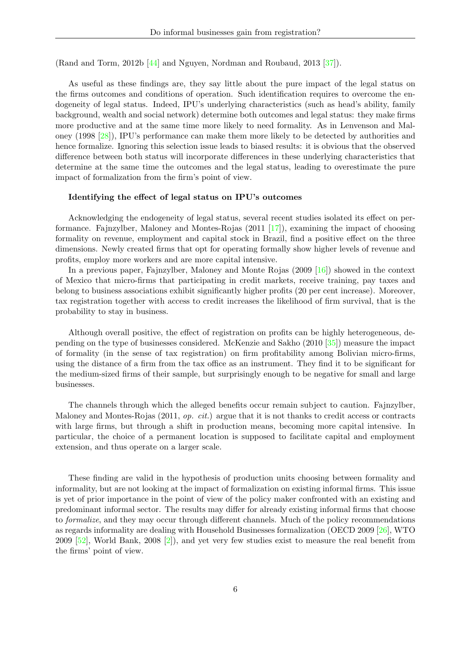(Rand and Torm, 2012b [\[44\]](#page-31-15) and Nguyen, Nordman and Roubaud, 2013 [\[37\]](#page-31-16)).

As useful as these findings are, they say little about the pure impact of the legal status on the firms outcomes and conditions of operation. Such identification requires to overcome the endogeneity of legal status. Indeed, IPU's underlying characteristics (such as head's ability, family background, wealth and social network) determine both outcomes and legal status: they make firms more productive and at the same time more likely to need formality. As in Lenvenson and Maloney (1998 [\[28\]](#page-31-17)), IPU's performance can make them more likely to be detected by authorities and hence formalize. Ignoring this selection issue leads to biased results: it is obvious that the observed difference between both status will incorporate differences in these underlying characteristics that determine at the same time the outcomes and the legal status, leading to overestimate the pure impact of formalization from the firm's point of view.

#### Identifying the effect of legal status on IPU's outcomes

Acknowledging the endogeneity of legal status, several recent studies isolated its effect on performance. Fajnzylber, Maloney and Montes-Rojas (2011 [\[17\]](#page-30-13)), examining the impact of choosing formality on revenue, employment and capital stock in Brazil, find a positive effect on the three dimensions. Newly created firms that opt for operating formally show higher levels of revenue and profits, employ more workers and are more capital intensive.

In a previous paper, Fajnzylber, Maloney and Monte Rojas (2009 [\[16\]](#page-30-12)) showed in the context of Mexico that micro-firms that participating in credit markets, receive training, pay taxes and belong to business associations exhibit significantly higher profits (20 per cent increase). Moreover, tax registration together with access to credit increases the likelihood of firm survival, that is the probability to stay in business.

Although overall positive, the effect of registration on profits can be highly heterogeneous, depending on the type of businesses considered. McKenzie and Sakho (2010 [\[35\]](#page-31-6)) measure the impact of formality (in the sense of tax registration) on firm profitability among Bolivian micro-firms, using the distance of a firm from the tax office as an instrument. They find it to be significant for the medium-sized firms of their sample, but surprisingly enough to be negative for small and large businesses.

The channels through which the alleged benefits occur remain subject to caution. Fajnzylber, Maloney and Montes-Rojas (2011, op. cit.) argue that it is not thanks to credit access or contracts with large firms, but through a shift in production means, becoming more capital intensive. In particular, the choice of a permanent location is supposed to facilitate capital and employment extension, and thus operate on a larger scale.

These finding are valid in the hypothesis of production units choosing between formality and informality, but are not looking at the impact of formalization on existing informal firms. This issue is yet of prior importance in the point of view of the policy maker confronted with an existing and predominant informal sector. The results may differ for already existing informal firms that choose to formalize, and they may occur through different channels. Much of the policy recommendations as regards informality are dealing with Household Businesses formalization (OECD 2009 [\[26\]](#page-31-9), WTO 2009 [\[52\]](#page-32-0), World Bank, 2008 [\[2\]](#page-30-14)), and yet very few studies exist to measure the real benefit from the firms' point of view.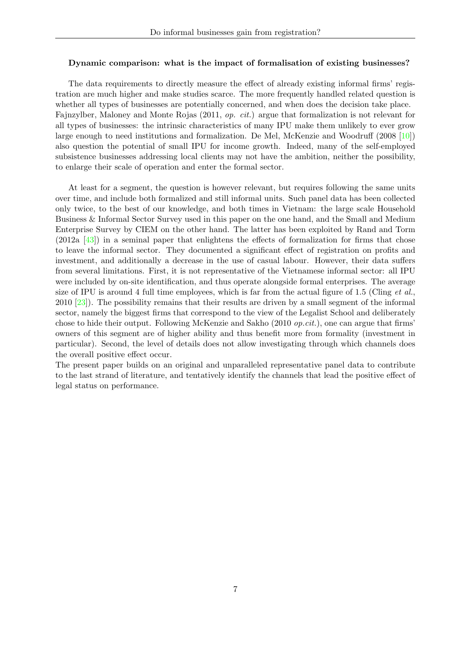#### Dynamic comparison: what is the impact of formalisation of existing businesses?

The data requirements to directly measure the effect of already existing informal firms' registration are much higher and make studies scarce. The more frequently handled related question is whether all types of businesses are potentially concerned, and when does the decision take place. Fajnzylber, Maloney and Monte Rojas (2011, op. cit.) argue that formalization is not relevant for all types of businesses: the intrinsic characteristics of many IPU make them unlikely to ever grow large enough to need institutions and formalization. De Mel, McKenzie and Woodruff (2008 [\[10\]](#page-30-9)) also question the potential of small IPU for income growth. Indeed, many of the self-employed subsistence businesses addressing local clients may not have the ambition, neither the possibility, to enlarge their scale of operation and enter the formal sector.

At least for a segment, the question is however relevant, but requires following the same units over time, and include both formalized and still informal units. Such panel data has been collected only twice, to the best of our knowledge, and both times in Vietnam: the large scale Household Business & Informal Sector Survey used in this paper on the one hand, and the Small and Medium Enterprise Survey by CIEM on the other hand. The latter has been exploited by Rand and Torm (2012a [\[43\]](#page-31-18)) in a seminal paper that enlightens the effects of formalization for firms that chose to leave the informal sector. They documented a significant effect of registration on profits and investment, and additionally a decrease in the use of casual labour. However, their data suffers from several limitations. First, it is not representative of the Vietnamese informal sector: all IPU were included by on-site identification, and thus operate alongside formal enterprises. The average size of IPU is around 4 full time employees, which is far from the actual figure of 1.5 (Cling *et al.*, 2010 [\[23\]](#page-30-5)). The possibility remains that their results are driven by a small segment of the informal sector, namely the biggest firms that correspond to the view of the Legalist School and deliberately chose to hide their output. Following McKenzie and Sakho (2010 op.cit.), one can argue that firms' owners of this segment are of higher ability and thus benefit more from formality (investment in particular). Second, the level of details does not allow investigating through which channels does the overall positive effect occur.

The present paper builds on an original and unparalleled representative panel data to contribute to the last strand of literature, and tentatively identify the channels that lead the positive effect of legal status on performance.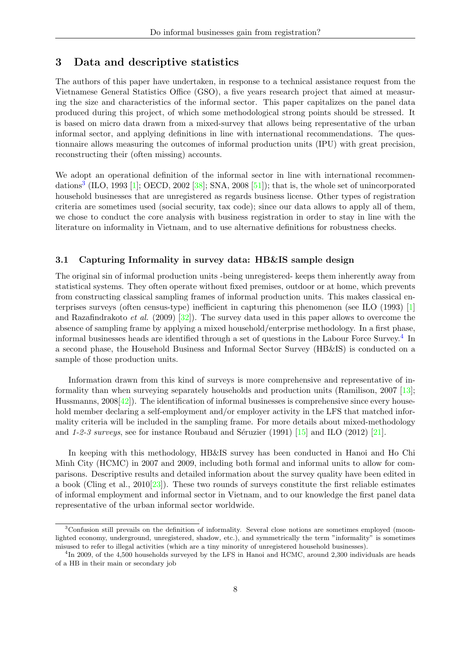### 3 Data and descriptive statistics

The authors of this paper have undertaken, in response to a technical assistance request from the Vietnamese General Statistics Office (GSO), a five years research project that aimed at measuring the size and characteristics of the informal sector. This paper capitalizes on the panel data produced during this project, of which some methodological strong points should be stressed. It is based on micro data drawn from a mixed-survey that allows being representative of the urban informal sector, and applying definitions in line with international recommendations. The questionnaire allows measuring the outcomes of informal production units (IPU) with great precision, reconstructing their (often missing) accounts.

We adopt an operational definition of the informal sector in line with international recommen-dations<sup>[3](#page-8-0)</sup> (ILO, 1993 [\[1\]](#page-30-2); OECD, 2002 [\[38\]](#page-31-19); SNA, 2008 [\[51\]](#page-32-1)); that is, the whole set of unincorporated household businesses that are unregistered as regards business license. Other types of registration criteria are sometimes used (social security, tax code); since our data allows to apply all of them, we chose to conduct the core analysis with business registration in order to stay in line with the literature on informality in Vietnam, and to use alternative definitions for robustness checks.

#### 3.1 Capturing Informality in survey data: HB&IS sample design

The original sin of informal production units -being unregistered- keeps them inherently away from statistical systems. They often operate without fixed premises, outdoor or at home, which prevents from constructing classical sampling frames of informal production units. This makes classical enterprises surveys (often census-type) inefficient in capturing this phenomenon (see ILO (1993) [\[1\]](#page-30-2) and Razafindrakoto *et al.* (2009) [\[32\]](#page-31-0)). The survey data used in this paper allows to overcome the absence of sampling frame by applying a mixed household/enterprise methodology. In a first phase, informal businesses heads are identified through a set of questions in the Labour Force Survey.<sup>[4](#page-8-1)</sup> In a second phase, the Household Business and Informal Sector Survey (HB&IS) is conducted on a sample of those production units.

Information drawn from this kind of surveys is more comprehensive and representative of informality than when surveying separately households and production units (Ramilison, 2007 [\[13\]](#page-30-15); Hussmanns, 2008[\[42\]](#page-31-5)). The identification of informal businesses is comprehensive since every household member declaring a self-employment and/or employer activity in the LFS that matched informality criteria will be included in the sampling frame. For more details about mixed-methodology and 1-2-3 surveys, see for instance Roubaud and Séruzier (1991)  $[15]$  and ILO (2012)  $[21]$ .

In keeping with this methodology, HB&IS survey has been conducted in Hanoi and Ho Chi Minh City (HCMC) in 2007 and 2009, including both formal and informal units to allow for comparisons. Descriptive results and detailed information about the survey quality have been edited in a book (Cling et al.,  $2010[23]$  $2010[23]$ ). These two rounds of surveys constitute the first reliable estimates of informal employment and informal sector in Vietnam, and to our knowledge the first panel data representative of the urban informal sector worldwide.

<span id="page-8-0"></span><sup>3</sup>Confusion still prevails on the definition of informality. Several close notions are sometimes employed (moonlighted economy, underground, unregistered, shadow, etc.), and symmetrically the term "informality" is sometimes misused to refer to illegal activities (which are a tiny minority of unregistered household businesses).

<span id="page-8-1"></span><sup>&</sup>lt;sup>4</sup>In 2009, of the 4,500 households surveyed by the LFS in Hanoi and HCMC, around 2,300 individuals are heads of a HB in their main or secondary job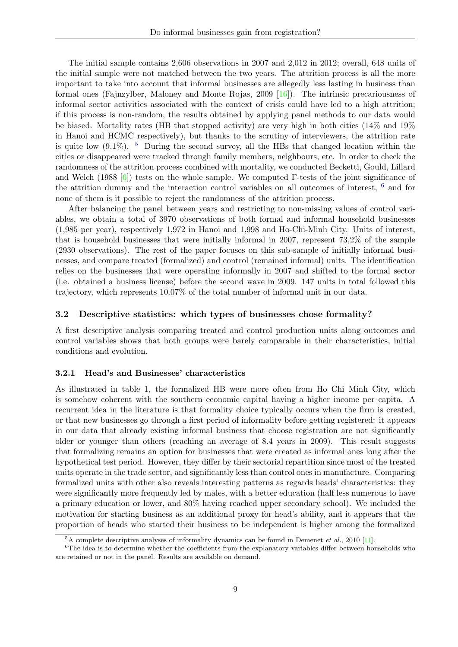The initial sample contains 2,606 observations in 2007 and 2,012 in 2012; overall, 648 units of the initial sample were not matched between the two years. The attrition process is all the more important to take into account that informal businesses are allegedly less lasting in business than formal ones (Fajnzylber, Maloney and Monte Rojas, 2009 [\[16\]](#page-30-12)). The intrinsic precariousness of informal sector activities associated with the context of crisis could have led to a high attrition; if this process is non-random, the results obtained by applying panel methods to our data would be biased. Mortality rates (HB that stopped activity) are very high in both cities (14% and 19% in Hanoi and HCMC respectively), but thanks to the scrutiny of interviewers, the attrition rate is quite low  $(9.1\%)$ . <sup>[5](#page-9-0)</sup> During the second survey, all the HBs that changed location within the cities or disappeared were tracked through family members, neighbours, etc. In order to check the randomness of the attrition process combined with mortality, we conducted Becketti, Gould, Lillard and Welch  $(1988)$  [\[6\]](#page-30-17)) tests on the whole sample. We computed F-tests of the joint significance of the attrition dummy and the interaction control variables on all outcomes of interest, [6](#page-9-1) and for none of them is it possible to reject the randomness of the attrition process.

After balancing the panel between years and restricting to non-missing values of control variables, we obtain a total of 3970 observations of both formal and informal household businesses (1,985 per year), respectively 1,972 in Hanoi and 1,998 and Ho-Chi-Minh City. Units of interest, that is household businesses that were initially informal in 2007, represent 73,2% of the sample (2930 observations). The rest of the paper focuses on this sub-sample of initially informal businesses, and compare treated (formalized) and control (remained informal) units. The identification relies on the businesses that were operating informally in 2007 and shifted to the formal sector (i.e. obtained a business license) before the second wave in 2009. 147 units in total followed this trajectory, which represents 10.07% of the total number of informal unit in our data.

#### 3.2 Descriptive statistics: which types of businesses chose formality?

A first descriptive analysis comparing treated and control production units along outcomes and control variables shows that both groups were barely comparable in their characteristics, initial conditions and evolution.

#### 3.2.1 Head's and Businesses' characteristics

As illustrated in table 1, the formalized HB were more often from Ho Chi Minh City, which is somehow coherent with the southern economic capital having a higher income per capita. A recurrent idea in the literature is that formality choice typically occurs when the firm is created, or that new businesses go through a first period of informality before getting registered: it appears in our data that already existing informal business that choose registration are not significantly older or younger than others (reaching an average of 8.4 years in 2009). This result suggests that formalizing remains an option for businesses that were created as informal ones long after the hypothetical test period. However, they differ by their sectorial repartition since most of the treated units operate in the trade sector, and significantly less than control ones in manufacture. Comparing formalized units with other also reveals interesting patterns as regards heads' characteristics: they were significantly more frequently led by males, with a better education (half less numerous to have a primary education or lower, and 80% having reached upper secondary school). We included the motivation for starting business as an additional proxy for head's ability, and it appears that the proportion of heads who started their business to be independent is higher among the formalized

<span id="page-9-1"></span><span id="page-9-0"></span> $5A$  complete descriptive analyses of informality dynamics can be found in Demenet *et al.*, 2010 [\[11\]](#page-30-18).

<sup>&</sup>lt;sup>6</sup>The idea is to determine whether the coefficients from the explanatory variables differ between households who are retained or not in the panel. Results are available on demand.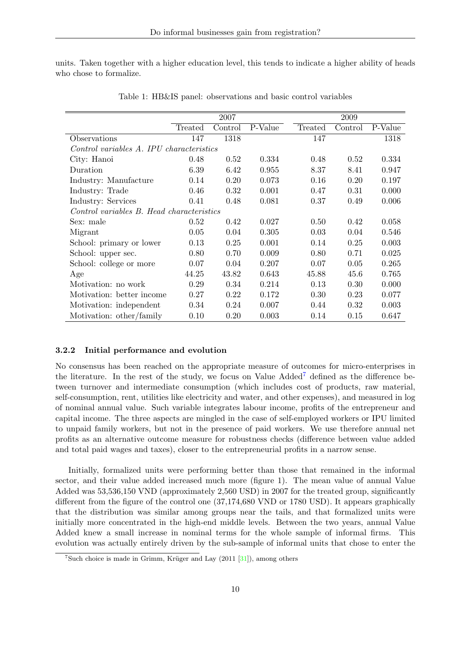units. Taken together with a higher education level, this tends to indicate a higher ability of heads who chose to formalize.

|                                           |         | 2007    |         |         | 2009    |         |
|-------------------------------------------|---------|---------|---------|---------|---------|---------|
|                                           | Treated | Control | P-Value | Treated | Control | P-Value |
| Observations                              | 147     | 1318    |         | 147     |         | 1318    |
| Control variables A. IPU characteristics  |         |         |         |         |         |         |
| City: Hanoi                               | 0.48    | 0.52    | 0.334   | 0.48    | 0.52    | 0.334   |
| Duration                                  | 6.39    | 6.42    | 0.955   | 8.37    | 8.41    | 0.947   |
| Industry: Manufacture                     | 0.14    | 0.20    | 0.073   | 0.16    | 0.20    | 0.197   |
| Industry: Trade                           | 0.46    | 0.32    | 0.001   | 0.47    | 0.31    | 0.000   |
| Industry: Services                        | 0.41    | 0.48    | 0.081   | 0.37    | 0.49    | 0.006   |
| Control variables B. Head characteristics |         |         |         |         |         |         |
| Sex: male                                 | 0.52    | 0.42    | 0.027   | 0.50    | 0.42    | 0.058   |
| Migrant                                   | 0.05    | 0.04    | 0.305   | 0.03    | 0.04    | 0.546   |
| School: primary or lower                  | 0.13    | 0.25    | 0.001   | 0.14    | 0.25    | 0.003   |
| School: upper sec.                        | 0.80    | 0.70    | 0.009   | 0.80    | 0.71    | 0.025   |
| School: college or more                   | 0.07    | 0.04    | 0.207   | 0.07    | 0.05    | 0.265   |
| Age                                       | 44.25   | 43.82   | 0.643   | 45.88   | 45.6    | 0.765   |
| Motivation: no work                       | 0.29    | 0.34    | 0.214   | 0.13    | 0.30    | 0.000   |
| Motivation: better income                 | 0.27    | 0.22    | 0.172   | 0.30    | 0.23    | 0.077   |
| Motivation: independent                   | 0.34    | 0.24    | 0.007   | 0.44    | 0.32    | 0.003   |
| Motivation: other/family                  | 0.10    | 0.20    | 0.003   | 0.14    | 0.15    | 0.647   |

Table 1: HB&IS panel: observations and basic control variables

#### 3.2.2 Initial performance and evolution

No consensus has been reached on the appropriate measure of outcomes for micro-enterprises in the literature. In the rest of the study, we focus on Value  $\text{Add}^7$  $\text{Add}^7$  defined as the difference between turnover and intermediate consumption (which includes cost of products, raw material, self-consumption, rent, utilities like electricity and water, and other expenses), and measured in log of nominal annual value. Such variable integrates labour income, profits of the entrepreneur and capital income. The three aspects are mingled in the case of self-employed workers or IPU limited to unpaid family workers, but not in the presence of paid workers. We use therefore annual net profits as an alternative outcome measure for robustness checks (difference between value added and total paid wages and taxes), closer to the entrepreneurial profits in a narrow sense.

Initially, formalized units were performing better than those that remained in the informal sector, and their value added increased much more (figure 1). The mean value of annual Value Added was 53,536,150 VND (approximately 2,560 USD) in 2007 for the treated group, significantly different from the figure of the control one (37,174,680 VND or 1780 USD). It appears graphically that the distribution was similar among groups near the tails, and that formalized units were initially more concentrated in the high-end middle levels. Between the two years, annual Value Added knew a small increase in nominal terms for the whole sample of informal firms. This evolution was actually entirely driven by the sub-sample of informal units that chose to enter the

<span id="page-10-0"></span><sup>&</sup>lt;sup>7</sup>Such choice is made in Grimm, Krüger and Lay  $(2011 \ 31)$ , among others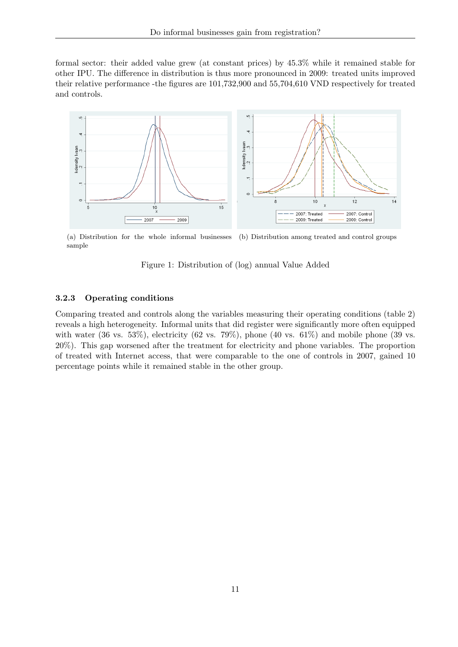formal sector: their added value grew (at constant prices) by 45.3% while it remained stable for other IPU. The difference in distribution is thus more pronounced in 2009: treated units improved their relative performance -the figures are 101,732,900 and 55,704,610 VND respectively for treated and controls.



(a) Distribution for the whole informal businesses sample (b) Distribution among treated and control groups

Figure 1: Distribution of (log) annual Value Added

### 3.2.3 Operating conditions

Comparing treated and controls along the variables measuring their operating conditions (table 2) reveals a high heterogeneity. Informal units that did register were significantly more often equipped with water (36 vs. 53%), electricity (62 vs. 79%), phone (40 vs. 61%) and mobile phone (39 vs. 20%). This gap worsened after the treatment for electricity and phone variables. The proportion of treated with Internet access, that were comparable to the one of controls in 2007, gained 10 percentage points while it remained stable in the other group.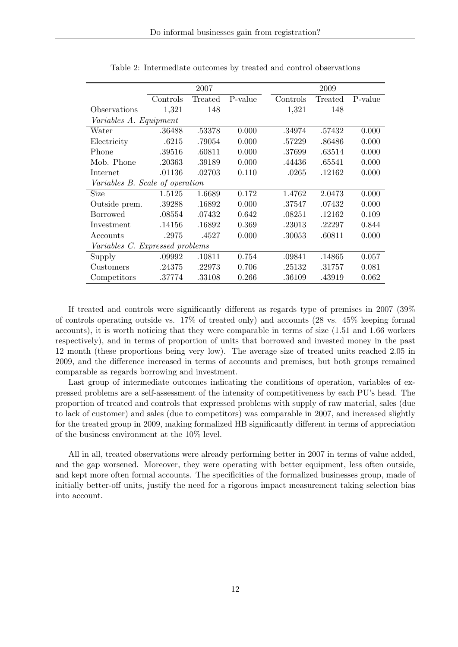|                                 |          | 2007    |         |          | 2009    |         |
|---------------------------------|----------|---------|---------|----------|---------|---------|
|                                 | Controls | Treated | P-value | Controls | Treated | P-value |
| Observations                    | 1,321    | 148     |         | 1,321    | 148     |         |
| Variables A. Equipment          |          |         |         |          |         |         |
| Water                           | .36488   | .53378  | 0.000   | .34974   | .57432  | 0.000   |
| Electricity                     | .6215    | .79054  | 0.000   | .57229   | .86486  | 0.000   |
| Phone                           | .39516   | .60811  | 0.000   | .37699   | .63514  | 0.000   |
| Mob. Phone                      | .20363   | .39189  | 0.000   | .44436   | .65541  | 0.000   |
| Internet                        | .01136   | .02703  | 0.110   | .0265    | .12162  | 0.000   |
| Variables B. Scale of operation |          |         |         |          |         |         |
| Size                            | 1.5125   | 1.6689  | 0.172   | 1.4762   | 2.0473  | 0.000   |
| Outside prem.                   | .39288   | .16892  | 0.000   | .37547   | .07432  | 0.000   |
| <b>Borrowed</b>                 | .08554   | .07432  | 0.642   | .08251   | .12162  | 0.109   |
| Investment                      | .14156   | .16892  | 0.369   | .23013   | .22297  | 0.844   |
| Accounts                        | .2975    | .4527   | 0.000   | .30053   | .60811  | 0.000   |
| Variables C. Expressed problems |          |         |         |          |         |         |
| Supply                          | .09992   | .10811  | 0.754   | .09841   | .14865  | 0.057   |
| Customers                       | .24375   | .22973  | 0.706   | .25132   | .31757  | 0.081   |
| Competitors                     | .37774   | .33108  | 0.266   | .36109   | .43919  | 0.062   |

Table 2: Intermediate outcomes by treated and control observations

If treated and controls were significantly different as regards type of premises in 2007 (39% of controls operating outside vs. 17% of treated only) and accounts (28 vs. 45% keeping formal accounts), it is worth noticing that they were comparable in terms of size (1.51 and 1.66 workers respectively), and in terms of proportion of units that borrowed and invested money in the past 12 month (these proportions being very low). The average size of treated units reached 2.05 in 2009, and the difference increased in terms of accounts and premises, but both groups remained comparable as regards borrowing and investment.

Last group of intermediate outcomes indicating the conditions of operation, variables of expressed problems are a self-assessment of the intensity of competitiveness by each PU's head. The proportion of treated and controls that expressed problems with supply of raw material, sales (due to lack of customer) and sales (due to competitors) was comparable in 2007, and increased slightly for the treated group in 2009, making formalized HB significantly different in terms of appreciation of the business environment at the 10% level.

All in all, treated observations were already performing better in 2007 in terms of value added, and the gap worsened. Moreover, they were operating with better equipment, less often outside, and kept more often formal accounts. The specificities of the formalized businesses group, made of initially better-off units, justify the need for a rigorous impact measurement taking selection bias into account.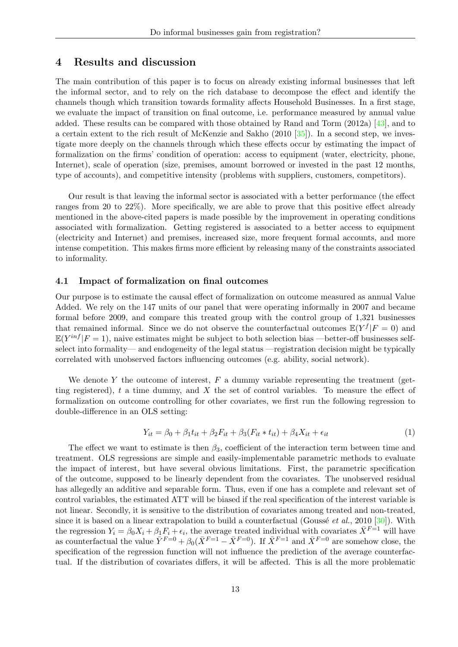### 4 Results and discussion

The main contribution of this paper is to focus on already existing informal businesses that left the informal sector, and to rely on the rich database to decompose the effect and identify the channels though which transition towards formality affects Household Businesses. In a first stage, we evaluate the impact of transition on final outcome, i.e. performance measured by annual value added. These results can be compared with those obtained by Rand and Torm (2012a) [\[43\]](#page-31-18), and to a certain extent to the rich result of McKenzie and Sakho (2010 [\[35\]](#page-31-6)). In a second step, we investigate more deeply on the channels through which these effects occur by estimating the impact of formalization on the firms' condition of operation: access to equipment (water, electricity, phone, Internet), scale of operation (size, premises, amount borrowed or invested in the past 12 months, type of accounts), and competitive intensity (problems with suppliers, customers, competitors).

Our result is that leaving the informal sector is associated with a better performance (the effect ranges from 20 to 22%). More specifically, we are able to prove that this positive effect already mentioned in the above-cited papers is made possible by the improvement in operating conditions associated with formalization. Getting registered is associated to a better access to equipment (electricity and Internet) and premises, increased size, more frequent formal accounts, and more intense competition. This makes firms more efficient by releasing many of the constraints associated to informality.

#### 4.1 Impact of formalization on final outcomes

Our purpose is to estimate the causal effect of formalization on outcome measured as annual Value Added. We rely on the 147 units of our panel that were operating informally in 2007 and became formal before 2009, and compare this treated group with the control group of 1,321 businesses that remained informal. Since we do not observe the counterfactual outcomes  $\mathbb{E}(Y^f|F=0)$  and  $\mathbb{E}(Y^{inf}|F=1)$ , naive estimates might be subject to both selection bias —better-off businesses selfselect into formality— and endogeneity of the legal status —registration decision might be typically correlated with unobserved factors influencing outcomes (e.g. ability, social network).

We denote Y the outcome of interest,  $F$  a dummy variable representing the treatment (getting registered),  $t$  a time dummy, and  $X$  the set of control variables. To measure the effect of formalization on outcome controlling for other covariates, we first run the following regression to double-difference in an OLS setting:

$$
Y_{it} = \beta_0 + \beta_1 t_{it} + \beta_2 F_{it} + \beta_3 (F_{it} * t_{it}) + \beta_4 X_{it} + \epsilon_{it}
$$
(1)

The effect we want to estimate is then  $\beta_3$ , coefficient of the interaction term between time and treatment. OLS regressions are simple and easily-implementable parametric methods to evaluate the impact of interest, but have several obvious limitations. First, the parametric specification of the outcome, supposed to be linearly dependent from the covariates. The unobserved residual has allegedly an additive and separable form. Thus, even if one has a complete and relevant set of control variables, the estimated ATT will be biased if the real specification of the interest variable is not linear. Secondly, it is sensitive to the distribution of covariates among treated and non-treated, since it is based on a linear extrapolation to build a counterfactual (Goussé *et al.*, 2010 [\[30\]](#page-31-20)). With the regression  $Y_i = \beta_0 X_i + \beta_1 F_i + \epsilon_i$ , the average treated individual with covariates  $\bar{X}^{F=1}$  will have as counterfactual the value  $\overline{Y}^{F=0} + \beta_0(\overline{X}^{F=1} - \overline{X}^{F=0})$ . If  $\overline{X}^{F=1}$  and  $\overline{X}^{F=0}$  are somehow close, the specification of the regression function will not influence the prediction of the average counterfactual. If the distribution of covariates differs, it will be affected. This is all the more problematic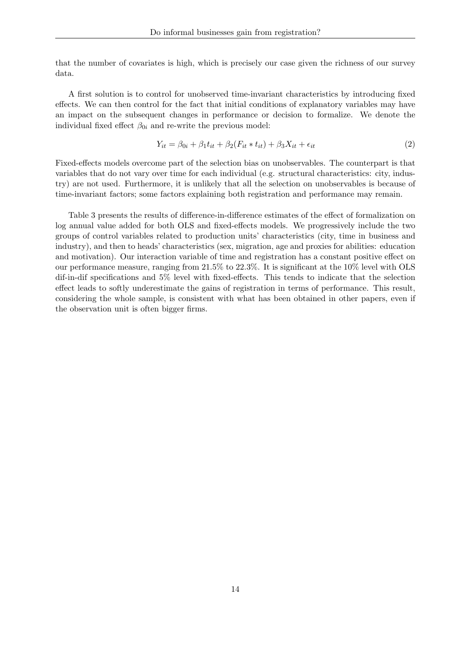that the number of covariates is high, which is precisely our case given the richness of our survey data.

A first solution is to control for unobserved time-invariant characteristics by introducing fixed effects. We can then control for the fact that initial conditions of explanatory variables may have an impact on the subsequent changes in performance or decision to formalize. We denote the individual fixed effect  $\beta_{0i}$  and re-write the previous model:

$$
Y_{it} = \beta_{0i} + \beta_1 t_{it} + \beta_2 (F_{it} * t_{it}) + \beta_3 X_{it} + \epsilon_{it}
$$
\n
$$
\tag{2}
$$

Fixed-effects models overcome part of the selection bias on unobservables. The counterpart is that variables that do not vary over time for each individual (e.g. structural characteristics: city, industry) are not used. Furthermore, it is unlikely that all the selection on unobservables is because of time-invariant factors; some factors explaining both registration and performance may remain.

Table 3 presents the results of difference-in-difference estimates of the effect of formalization on log annual value added for both OLS and fixed-effects models. We progressively include the two groups of control variables related to production units' characteristics (city, time in business and industry), and then to heads' characteristics (sex, migration, age and proxies for abilities: education and motivation). Our interaction variable of time and registration has a constant positive effect on our performance measure, ranging from 21.5% to 22.3%. It is significant at the 10% level with OLS dif-in-dif specifications and 5% level with fixed-effects. This tends to indicate that the selection effect leads to softly underestimate the gains of registration in terms of performance. This result, considering the whole sample, is consistent with what has been obtained in other papers, even if the observation unit is often bigger firms.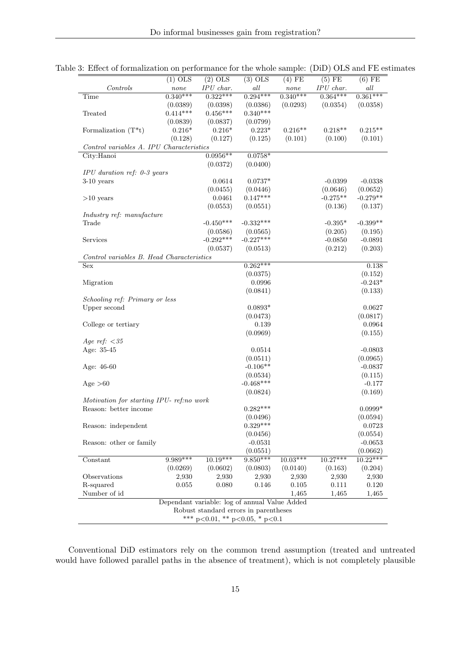|                                           | $(1)$ OLS  | $(2)$ OLS                                     | $(3)$ OLS               | $(4)$ FE   | $(5)$ FE               | $(6)$ FE               |
|-------------------------------------------|------------|-----------------------------------------------|-------------------------|------------|------------------------|------------------------|
| Controls                                  | $\it none$ | IPU char.                                     | all                     | none       | $\cal{IPU}$ char.      | all                    |
| Time                                      | $0.340***$ | $0.322***$                                    | $0.294***$              | $0.340***$ | $0.364***$             | $0.361***$             |
|                                           | (0.0389)   | (0.0398)                                      | (0.0386)                | (0.0293)   | (0.0354)               | (0.0358)               |
| Treated                                   | $0.414***$ | $0.456***$                                    | $0.340***$              |            |                        |                        |
|                                           | (0.0839)   | (0.0837)                                      | (0.0799)                |            |                        |                        |
| Formalization $(T^*t)$                    | $0.216*$   | $0.216*$                                      | $0.223*$                | $0.216**$  | $0.218**$              | $0.215**$              |
|                                           | (0.128)    | (0.127)                                       | (0.125)                 | (0.101)    | (0.100)                | (0.101)                |
| Control variables A. IPU Characteristics  |            |                                               |                         |            |                        |                        |
| City:Hanoi                                |            | $0.0956**$                                    | $0.0758*$               |            |                        |                        |
|                                           |            | (0.0372)                                      | (0.0400)                |            |                        |                        |
| $IPU$ duration ref: 0-3 years             |            |                                               |                         |            |                        |                        |
| $3-10$ years                              |            | 0.0614                                        | $0.0737*$               |            | $-0.0399$              | $-0.0338$              |
|                                           |            | (0.0455)<br>0.0461                            | (0.0446)<br>$0.147***$  |            | (0.0646)<br>$-0.275**$ | (0.0652)<br>$-0.279**$ |
| $>10$ years                               |            |                                               |                         |            |                        |                        |
|                                           |            | (0.0553)                                      | (0.0551)                |            | (0.136)                | (0.137)                |
| Industry ref: manufacture<br>Trade        |            | $-0.450***$                                   | $-0.332***$             |            | $-0.395*$              | $-0.399**$             |
|                                           |            | (0.0586)                                      |                         |            | (0.205)                | (0.195)                |
| Services                                  |            | $-0.292***$                                   | (0.0565)<br>$-0.227***$ |            | $-0.0850$              | $-0.0891$              |
|                                           |            | (0.0537)                                      | (0.0513)                |            | (0.212)                | (0.203)                |
| Control variables B. Head Characteristics |            |                                               |                         |            |                        |                        |
| Sex                                       |            |                                               | $0.262***$              |            |                        | 0.138                  |
|                                           |            |                                               | (0.0375)                |            |                        | (0.152)                |
| Migration                                 |            |                                               | 0.0996                  |            |                        | $-0.243*$              |
|                                           |            |                                               | (0.0841)                |            |                        | (0.133)                |
| Schooling ref: Primary or less            |            |                                               |                         |            |                        |                        |
| Upper second                              |            |                                               | $0.0893*$               |            |                        | 0.0627                 |
|                                           |            |                                               | (0.0473)                |            |                        | (0.0817)               |
| College or tertiary                       |            |                                               | 0.139                   |            |                        | 0.0964                 |
|                                           |            |                                               | (0.0969)                |            |                        | (0.155)                |
| Age ref: $<$ 35                           |            |                                               |                         |            |                        |                        |
| Age: 35-45                                |            |                                               | 0.0514                  |            |                        | $-0.0803$              |
|                                           |            |                                               | (0.0511)                |            |                        | (0.0965)               |
| Age: 46-60                                |            |                                               | $-0.106**$              |            |                        | $-0.0837$              |
|                                           |            |                                               | (0.0534)                |            |                        | (0.115)                |
| Age $>60$                                 |            |                                               | $-0.468***$             |            |                        | $-0.177$               |
|                                           |            |                                               | (0.0824)                |            |                        | (0.169)                |
| Motivation for starting IPU- ref.no work  |            |                                               |                         |            |                        |                        |
| Reason: better income                     |            |                                               | $0.282***$              |            |                        | $0.0999*$              |
|                                           |            |                                               | (0.0496)                |            |                        | (0.0594)               |
| Reason: independent                       |            |                                               | $0.329***$              |            |                        | 0.0723                 |
|                                           |            |                                               | (0.0456)                |            |                        | (0.0554)               |
| Reason: other or family                   |            |                                               | $-0.0531$               |            |                        | $-0.0653$              |
|                                           |            |                                               | (0.0551)                |            |                        | (0.0662)               |
| Constant                                  | 9.989***   | $10.19***$                                    | $9.850***$              | $10.03***$ | $10.27***$             | $10.22***$             |
|                                           | (0.0269)   | (0.0602)                                      | (0.0803)                | (0.0140)   | (0.163)                | (0.204)                |
| Observations                              | 2,930      | 2,930                                         | 2,930                   | 2,930      | 2,930                  | 2,930                  |
| R-squared                                 | 0.055      | 0.080                                         | 0.146                   | $0.105\,$  | 0.111                  | $0.120\,$              |
| Number of id                              |            |                                               |                         | 1,465      | 1,465                  | 1,465                  |
|                                           |            | Dependant variable: log of annual Value Added |                         |            |                        |                        |
|                                           |            | Robust standard errors in parentheses         |                         |            |                        |                        |
|                                           |            | *** $p<0.01$ , ** $p<0.05$ , * $p<0.1$        |                         |            |                        |                        |

Table 3: Effect of formalization on performance for the whole sample: (DiD) OLS and FE estimates

Conventional DiD estimators rely on the common trend assumption (treated and untreated would have followed parallel paths in the absence of treatment), which is not completely plausible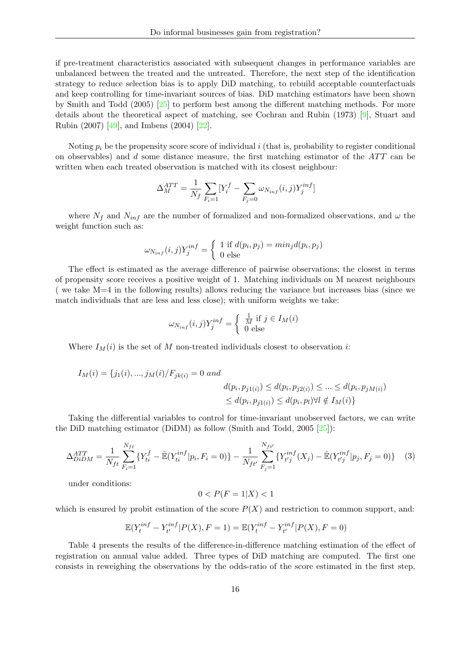if pre-treatment characteristics associated with subsequent changes in performance variables are unbalanced between the treated and the untreated. Therefore, the next step of the identification strategy to reduce selection bias is to apply DiD matching, to rebuild acceptable counterfactuals and keep controlling for time-invariant sources of bias. DiD matching estimators have been shown by Smith and Todd (2005) [\[25\]](#page-30-19) to perform best among the different matching methods. For more details about the theoretical aspect of matching, see Cochran and Rubin (1973) [\[9\]](#page-30-20), Stuart and Rubin (2007) [\[49\]](#page-31-21), and Imbens (2004) [\[22\]](#page-30-21).

Noting  $p_i$  be the propensity score score of individual i (that is, probability to register conditional on observables) and d some distance measure, the first matching estimator of the  $ATT$  can be written when each treated observation is matched with its closest neighbour:

$$
\Delta_M^{ATT} = \frac{1}{N_f} \sum_{F_i=1} [Y_i^f - \sum_{F_j=0} \omega_{N_{inf}}(i,j) Y_j^{inf}]
$$

where  $N_f$  and  $N_{inf}$  are the number of formalized and non-formalized observations, and  $\omega$  the weight function such as:

$$
\omega_{N_{inf}}(i,j)Y_j^{inf} = \begin{cases} 1 \text{ if } d(p_i, p_j) = min_j d(p_i, p_j) \\ 0 \text{ else} \end{cases}
$$

The effect is estimated as the average difference of pairwise observations; the closest in terms of propensity score receives a positive weight of 1. Matching individuals on M nearest neighbours ( we take M=4 in the following results) allows reducing the variance but increases bias (since we match individuals that are less and less close); with uniform weights we take:

$$
\omega_{N_{inf}}(i,j)Y_j^{inf} = \begin{cases} \frac{1}{M} \text{ if } j \in I_M(i) \\ 0 \text{ else} \end{cases}
$$

Where  $I_M(i)$  is the set of M non-treated individuals closest to observation i:

$$
I_M(i) = \{j_1(i), ..., j_M(i)/F_{jk(i)} = 0 \text{ and}
$$
  

$$
d(p_i, p_{j1(i)}) \le d(p_i, p_{j2(i)}) \le ... \le d(p_i, p_{jM(i)})
$$
  

$$
\le d(p_i, p_{j1(i)}) \le d(p_i, p_l) \forall l \notin I_M(i)\}
$$

Taking the differential variables to control for time-invariant unobserved factors, we can write the DiD matching estimator (DiDM) as follow (Smith and Todd, 2005 [\[25\]](#page-30-19)):

$$
\Delta_{DiDM}^{ATT} = \frac{1}{N_{ft}} \sum_{F_i=1}^{N_{ft}} \{ Y_{ti}^f - \hat{\mathbb{E}} (Y_{ti}^{inf} | p_i, F_i = 0) \} - \frac{1}{N_{ft'}} \sum_{F_j=1}^{N_{ft'}} \{ Y_{t'j}^{inf}(X_j) - \hat{\mathbb{E}} (Y_{t'j}^{inf} | p_j, F_j = 0) \} \tag{3}
$$

under conditions:

$$
0 < P(F = 1|X) < 1
$$

which is ensured by probit estimation of the score  $P(X)$  and restriction to common support, and:

$$
\mathbb{E}(Y_t^{inf} - Y_{t'}^{inf}|P(X), F = 1) = \mathbb{E}(Y_t^{inf} - Y_{t'}^{inf}|P(X), F = 0)
$$

Table 4 presents the results of the difference-in-difference matching estimation of the effect of registration on annual value added. Three types of DiD matching are computed. The first one consists in reweighing the observations by the odds-ratio of the score estimated in the first step,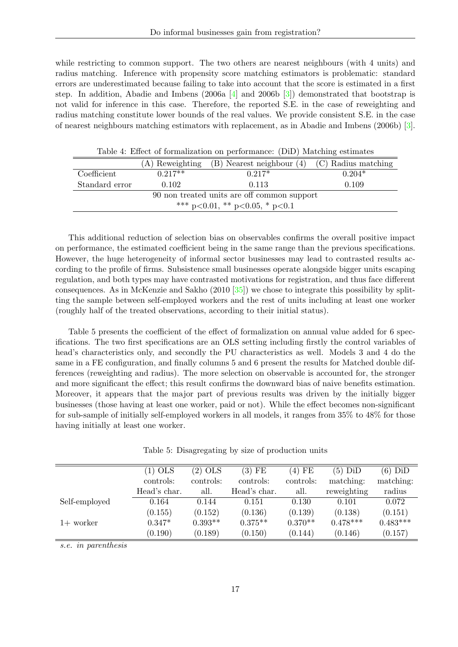while restricting to common support. The two others are nearest neighbours (with 4 units) and radius matching. Inference with propensity score matching estimators is problematic: standard errors are underestimated because failing to take into account that the score is estimated in a first step. In addition, Abadie and Imbens (2006a  $\boxed{4}$  and 2006b  $\boxed{3}$ ) demonstrated that bootstrap is not valid for inference in this case. Therefore, the reported S.E. in the case of reweighting and radius matching constitute lower bounds of the real values. We provide consistent S.E. in the case of nearest neighbours matching estimators with replacement, as in Abadie and Imbens (2006b) [\[3\]](#page-30-23).

| Table 1. Ence of formalization on performance, (DID) materially commates |  |  |  |  |  |  |  |  |
|--------------------------------------------------------------------------|--|--|--|--|--|--|--|--|
| (B) Nearest neighbour (4) (C) Radius matching                            |  |  |  |  |  |  |  |  |
| $0.204*$                                                                 |  |  |  |  |  |  |  |  |
| 0.109                                                                    |  |  |  |  |  |  |  |  |
| 90 non treated units are off common support                              |  |  |  |  |  |  |  |  |
| *** p<0.01, ** p<0.05, * p<0.1                                           |  |  |  |  |  |  |  |  |
|                                                                          |  |  |  |  |  |  |  |  |

Table 4: Effect of formalization on performance: (DiD) Matching estimates

This additional reduction of selection bias on observables confirms the overall positive impact on performance, the estimated coefficient being in the same range than the previous specifications. However, the huge heterogeneity of informal sector businesses may lead to contrasted results according to the profile of firms. Subsistence small businesses operate alongside bigger units escaping regulation, and both types may have contrasted motivations for registration, and thus face different consequences. As in McKenzie and Sakho (2010 [\[35\]](#page-31-6)) we chose to integrate this possibility by splitting the sample between self-employed workers and the rest of units including at least one worker (roughly half of the treated observations, according to their initial status).

Table 5 presents the coefficient of the effect of formalization on annual value added for 6 specifications. The two first specifications are an OLS setting including firstly the control variables of head's characteristics only, and secondly the PU characteristics as well. Models 3 and 4 do the same in a FE configuration, and finally columns 5 and 6 present the results for Matched double differences (reweighting and radius). The more selection on observable is accounted for, the stronger and more significant the effect; this result confirms the downward bias of naive benefits estimation. Moreover, it appears that the major part of previous results was driven by the initially bigger businesses (those having at least one worker, paid or not). While the effect becomes non-significant for sub-sample of initially self-employed workers in all models, it ranges from 35% to 48% for those having initially at least one worker.

|  | Table 5: Disagregating by size of production units |  |  |  |  |  |
|--|----------------------------------------------------|--|--|--|--|--|
|--|----------------------------------------------------|--|--|--|--|--|

|               | $(1)$ OLS    | $(2)$ OLS | $(3)$ FE     | $(4)$ FE  | $(5)$ DiD   | $(6)$ DiD  |
|---------------|--------------|-----------|--------------|-----------|-------------|------------|
|               | controls:    | controls: | controls:    | controls: | matching:   | matching:  |
|               | Head's char. | all.      | Head's char. | all.      | reweighting | radius     |
| Self-employed | 0.164        | 0.144     | 0.151        | 0.130     | 0.101       | 0.072      |
|               | (0.155)      | (0.152)   | (0.136)      | (0.139)   | (0.138)     | (0.151)    |
| $1+$ worker   | $0.347*$     | $0.393**$ | $0.375**$    | $0.370**$ | $0.478***$  | $0.483***$ |
|               | (0.190)      | (0.189)   | (0.150)      | (0.144)   | (0.146)     | (0.157)    |

s.e. in parenthesis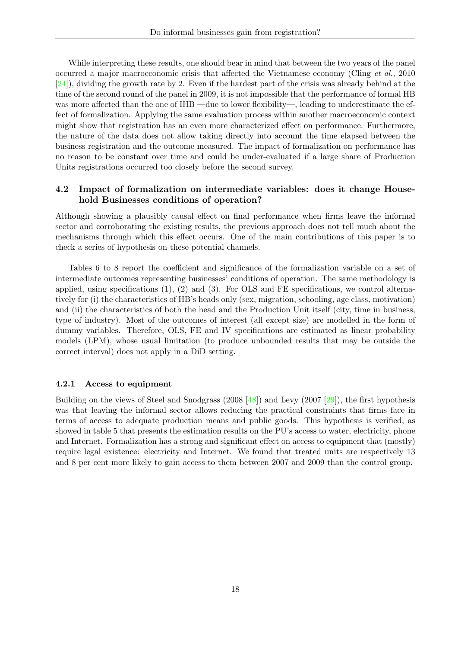While interpreting these results, one should bear in mind that between the two years of the panel occurred a major macroeconomic crisis that affected the Vietnamese economy (Cling et al., 2010 [\[24\]](#page-30-24)), dividing the growth rate by 2. Even if the hardest part of the crisis was already behind at the time of the second round of the panel in 2009, it is not impossible that the performance of formal HB was more affected than the one of IHB —due to lower flexibility—, leading to underestimate the effect of formalization. Applying the same evaluation process within another macroeconomic context might show that registration has an even more characterized effect on performance. Furthermore, the nature of the data does not allow taking directly into account the time elapsed between the business registration and the outcome measured. The impact of formalization on performance has no reason to be constant over time and could be under-evaluated if a large share of Production Units registrations occurred too closely before the second survey.

### 4.2 Impact of formalization on intermediate variables: does it change Household Businesses conditions of operation?

Although showing a plausibly causal effect on final performance when firms leave the informal sector and corroborating the existing results, the previous approach does not tell much about the mechanisms through which this effect occurs. One of the main contributions of this paper is to check a series of hypothesis on these potential channels.

Tables 6 to 8 report the coefficient and significance of the formalization variable on a set of intermediate outcomes representing businesses' conditions of operation. The same methodology is applied, using specifications (1), (2) and (3). For OLS and FE specifications, we control alternatively for (i) the characteristics of HB's heads only (sex, migration, schooling, age class, motivation) and (ii) the characteristics of both the head and the Production Unit itself (city, time in business, type of industry). Most of the outcomes of interest (all except size) are modelled in the form of dummy variables. Therefore, OLS, FE and IV specifications are estimated as linear probability models (LPM), whose usual limitation (to produce unbounded results that may be outside the correct interval) does not apply in a DiD setting.

#### 4.2.1 Access to equipment

Building on the views of Steel and Snodgrass (2008 [\[48\]](#page-31-22)) and Levy (2007 [\[29\]](#page-31-10)), the first hypothesis was that leaving the informal sector allows reducing the practical constraints that firms face in terms of access to adequate production means and public goods. This hypothesis is verified, as showed in table 5 that presents the estimation results on the PU's access to water, electricity, phone and Internet. Formalization has a strong and significant effect on access to equipment that (mostly) require legal existence: electricity and Internet. We found that treated units are respectively 13 and 8 per cent more likely to gain access to them between 2007 and 2009 than the control group.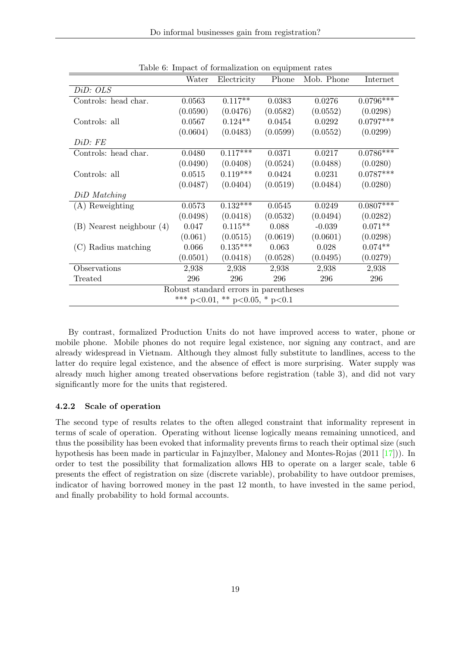|                               | Water    | Electricity                           | Phone    | Mob. Phone | Internet    |
|-------------------------------|----------|---------------------------------------|----------|------------|-------------|
| DiD: OLS                      |          |                                       |          |            |             |
| Controls: head char.          | 0.0563   | $0.117**$                             | 0.0383   | 0.0276     | $0.0796***$ |
|                               | (0.0590) | (0.0476)                              | (0.0582) | (0.0552)   | (0.0298)    |
| Controls: all                 | 0.0567   | $0.124**$                             | 0.0454   | 0.0292     | $0.0797***$ |
|                               | (0.0604) | (0.0483)                              | (0.0599) | (0.0552)   | (0.0299)    |
| DiD:FE                        |          |                                       |          |            |             |
| Controls: head char.          | 0.0480   | $0.117***$                            | 0.0371   | 0.0217     | $0.0786***$ |
|                               | (0.0490) | (0.0408)                              | (0.0524) | (0.0488)   | (0.0280)    |
| Controls: all                 | 0.0515   | $0.119***$                            | 0.0424   | 0.0231     | $0.0787***$ |
|                               | (0.0487) | (0.0404)                              | (0.0519) | (0.0484)   | (0.0280)    |
| DiD Matching                  |          |                                       |          |            |             |
| (A) Reweighting               | 0.0573   | $0.132***$                            | 0.0545   | 0.0249     | $0.0807***$ |
|                               | (0.0498) | (0.0418)                              | (0.0532) | (0.0494)   | (0.0282)    |
| $(B)$ Nearest neighbour $(4)$ | 0.047    | $0.115**$                             | 0.088    | $-0.039$   | $0.071**$   |
|                               | (0.061)  | (0.0515)                              | (0.0619) | (0.0601)   | (0.0298)    |
| (C) Radius matching           | 0.066    | $0.135***$                            | 0.063    | 0.028      | $0.074**$   |
|                               | (0.0501) | (0.0418)                              | (0.0528) | (0.0495)   | (0.0279)    |
| Observations                  | 2,938    | 2,938                                 | 2,938    | 2,938      | 2,938       |
| Treated                       | 296      | 296                                   | 296      | 296        | 296         |
|                               |          | Robust standard errors in parentheses |          |            |             |
|                               |          | *** p<0.01, ** p<0.05, * p<0.1        |          |            |             |

Table 6: Impact of formalization on equipment rates

By contrast, formalized Production Units do not have improved access to water, phone or mobile phone. Mobile phones do not require legal existence, nor signing any contract, and are already widespread in Vietnam. Although they almost fully substitute to landlines, access to the latter do require legal existence, and the absence of effect is more surprising. Water supply was already much higher among treated observations before registration (table 3), and did not vary significantly more for the units that registered.

### 4.2.2 Scale of operation

The second type of results relates to the often alleged constraint that informality represent in terms of scale of operation. Operating without license logically means remaining unnoticed, and thus the possibility has been evoked that informality prevents firms to reach their optimal size (such hypothesis has been made in particular in Fajnzylber, Maloney and Montes-Rojas (2011 [\[17\]](#page-30-13))). In order to test the possibility that formalization allows HB to operate on a larger scale, table 6 presents the effect of registration on size (discrete variable), probability to have outdoor premises, indicator of having borrowed money in the past 12 month, to have invested in the same period, and finally probability to hold formal accounts.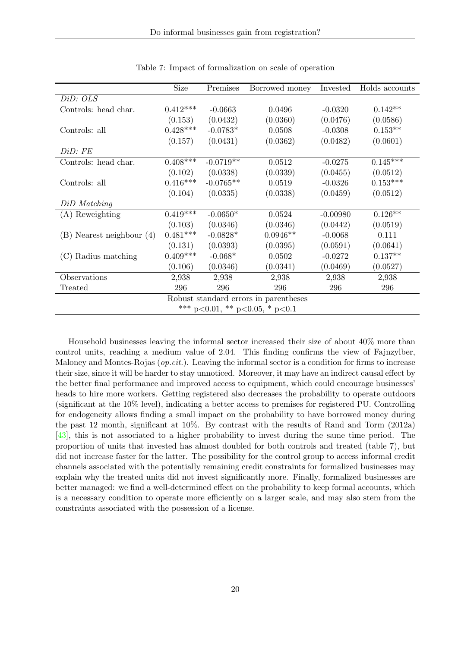| Size       | Premises    | Borrowed money | Invested                                                                        | Holds accounts |
|------------|-------------|----------------|---------------------------------------------------------------------------------|----------------|
|            |             |                |                                                                                 |                |
| $0.412***$ | $-0.0663$   | 0.0496         | $-0.0320$                                                                       | $0.142**$      |
| (0.153)    | (0.0432)    | (0.0360)       | (0.0476)                                                                        | (0.0586)       |
| $0.428***$ | $-0.0783*$  | 0.0508         | $-0.0308$                                                                       | $0.153**$      |
| (0.157)    | (0.0431)    | (0.0362)       | (0.0482)                                                                        | (0.0601)       |
|            |             |                |                                                                                 |                |
| $0.408***$ | $-0.0719**$ | 0.0512         | $-0.0275$                                                                       | $0.145***$     |
| (0.102)    | (0.0338)    | (0.0339)       | (0.0455)                                                                        | (0.0512)       |
| $0.416***$ | $-0.0765**$ | 0.0519         | $-0.0326$                                                                       | $0.153***$     |
| (0.104)    | (0.0335)    | (0.0338)       | (0.0459)                                                                        | (0.0512)       |
|            |             |                |                                                                                 |                |
| $0.419***$ | $-0.0650*$  | 0.0524         | $-0.00980$                                                                      | $0.126**$      |
| (0.103)    | (0.0346)    | (0.0346)       | (0.0442)                                                                        | (0.0519)       |
| $0.481***$ | $-0.0828*$  | $0.0946**$     | $-0.0068$                                                                       | 0.111          |
| (0.131)    | (0.0393)    | (0.0395)       | (0.0591)                                                                        | (0.0641)       |
| $0.409***$ | $-0.068*$   | 0.0502         | $-0.0272$                                                                       | $0.137**$      |
| (0.106)    | (0.0346)    | (0.0341)       | (0.0469)                                                                        | (0.0527)       |
| 2,938      | 2,938       | 2,938          | 2,938                                                                           | 2,938          |
| 296        | 296         | 296            | 296                                                                             | 296            |
|            |             |                |                                                                                 |                |
|            |             |                |                                                                                 |                |
|            |             |                | Robust standard errors in parentheses<br>*** $p<0.01$ , ** $p<0.05$ , * $p<0.1$ |                |

Table 7: Impact of formalization on scale of operation

Household businesses leaving the informal sector increased their size of about 40% more than control units, reaching a medium value of 2.04. This finding confirms the view of Fajnzylber, Maloney and Montes-Rojas  $(op.cit.)$ . Leaving the informal sector is a condition for firms to increase their size, since it will be harder to stay unnoticed. Moreover, it may have an indirect causal effect by the better final performance and improved access to equipment, which could encourage businesses' heads to hire more workers. Getting registered also decreases the probability to operate outdoors (significant at the 10% level), indicating a better access to premises for registered PU. Controlling for endogeneity allows finding a small impact on the probability to have borrowed money during the past 12 month, significant at 10%. By contrast with the results of Rand and Torm (2012a) [\[43\]](#page-31-18), this is not associated to a higher probability to invest during the same time period. The proportion of units that invested has almost doubled for both controls and treated (table 7), but did not increase faster for the latter. The possibility for the control group to access informal credit channels associated with the potentially remaining credit constraints for formalized businesses may explain why the treated units did not invest significantly more. Finally, formalized businesses are better managed: we find a well-determined effect on the probability to keep formal accounts, which is a necessary condition to operate more efficiently on a larger scale, and may also stem from the constraints associated with the possession of a license.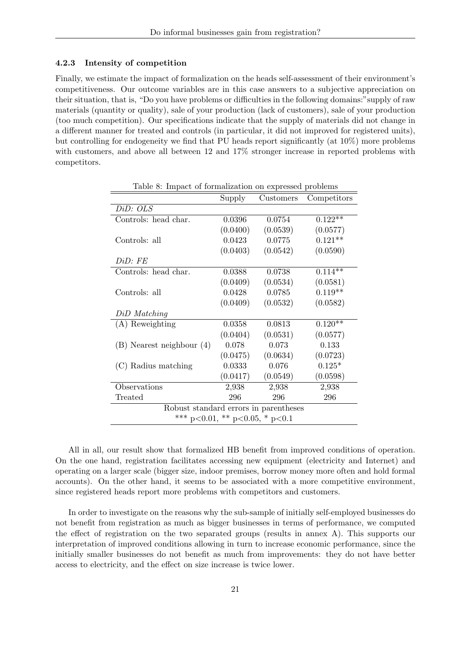#### 4.2.3 Intensity of competition

Finally, we estimate the impact of formalization on the heads self-assessment of their environment's competitiveness. Our outcome variables are in this case answers to a subjective appreciation on their situation, that is, "Do you have problems or difficulties in the following domains:"supply of raw materials (quantity or quality), sale of your production (lack of customers), sale of your production (too much competition). Our specifications indicate that the supply of materials did not change in a different manner for treated and controls (in particular, it did not improved for registered units), but controlling for endogeneity we find that PU heads report significantly (at 10%) more problems with customers, and above all between 12 and 17% stronger increase in reported problems with competitors.

|                                       | Supply   | Customers | Competitors |
|---------------------------------------|----------|-----------|-------------|
| DiD: OLS                              |          |           |             |
| Controls: head char.                  | 0.0396   | 0.0754    | $0.122**$   |
|                                       | (0.0400) | (0.0539)  | (0.0577)    |
| Controls: all                         | 0.0423   | 0.0775    | $0.121**$   |
|                                       | (0.0403) | (0.0542)  | (0.0590)    |
| DiD:FE                                |          |           |             |
| Controls: head char.                  | 0.0388   | 0.0738    | $0.114**$   |
|                                       | (0.0409) | (0.0534)  | (0.0581)    |
| Controls: all                         | 0.0428   | 0.0785    | $0.119**$   |
|                                       | (0.0409) | (0.0532)  | (0.0582)    |
| DiD Matching                          |          |           |             |
| (A) Reweighting                       | 0.0358   | 0.0813    | $0.120**$   |
|                                       | (0.0404) | (0.0531)  | (0.0577)    |
| $(B)$ Nearest neighbour $(4)$         | 0.078    | 0.073     | 0.133       |
|                                       | (0.0475) | (0.0634)  | (0.0723)    |
| (C) Radius matching                   | 0.0333   | 0.076     | $0.125*$    |
|                                       | (0.0417) | (0.0549)  | (0.0598)    |
| Observations                          | 2,938    | 2,938     | 2,938       |
| Treated                               | 296      | 296       | 296         |
| Robust standard errors in parentheses |          |           |             |
| *** p<0.01, ** p<0.05, * p<0.1        |          |           |             |

Table 8: Impact of formalization on expressed problems

All in all, our result show that formalized HB benefit from improved conditions of operation. On the one hand, registration facilitates accessing new equipment (electricity and Internet) and operating on a larger scale (bigger size, indoor premises, borrow money more often and hold formal accounts). On the other hand, it seems to be associated with a more competitive environment, since registered heads report more problems with competitors and customers.

In order to investigate on the reasons why the sub-sample of initially self-employed businesses do not benefit from registration as much as bigger businesses in terms of performance, we computed the effect of registration on the two separated groups (results in annex A). This supports our interpretation of improved conditions allowing in turn to increase economic performance, since the initially smaller businesses do not benefit as much from improvements: they do not have better access to electricity, and the effect on size increase is twice lower.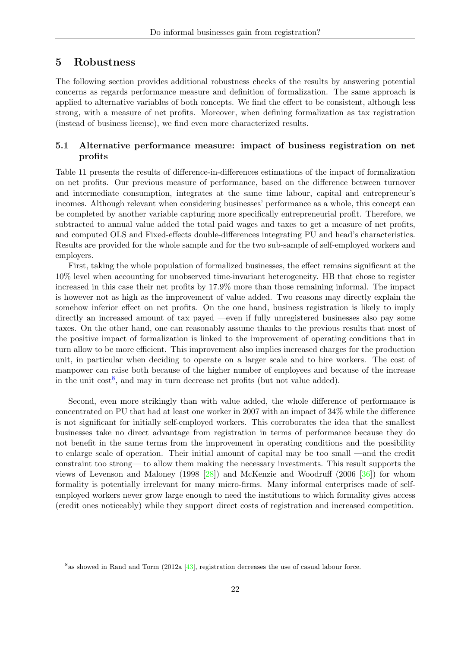# 5 Robustness

The following section provides additional robustness checks of the results by answering potential concerns as regards performance measure and definition of formalization. The same approach is applied to alternative variables of both concepts. We find the effect to be consistent, although less strong, with a measure of net profits. Moreover, when defining formalization as tax registration (instead of business license), we find even more characterized results.

### 5.1 Alternative performance measure: impact of business registration on net profits

Table 11 presents the results of difference-in-differences estimations of the impact of formalization on net profits. Our previous measure of performance, based on the difference between turnover and intermediate consumption, integrates at the same time labour, capital and entrepreneur's incomes. Although relevant when considering businesses' performance as a whole, this concept can be completed by another variable capturing more specifically entrepreneurial profit. Therefore, we subtracted to annual value added the total paid wages and taxes to get a measure of net profits, and computed OLS and Fixed-effects double-differences integrating PU and head's characteristics. Results are provided for the whole sample and for the two sub-sample of self-employed workers and employers.

First, taking the whole population of formalized businesses, the effect remains significant at the 10% level when accounting for unobserved time-invariant heterogeneity. HB that chose to register increased in this case their net profits by 17.9% more than those remaining informal. The impact is however not as high as the improvement of value added. Two reasons may directly explain the somehow inferior effect on net profits. On the one hand, business registration is likely to imply directly an increased amount of tax payed —even if fully unregistered businesses also pay some taxes. On the other hand, one can reasonably assume thanks to the previous results that most of the positive impact of formalization is linked to the improvement of operating conditions that in turn allow to be more efficient. This improvement also implies increased charges for the production unit, in particular when deciding to operate on a larger scale and to hire workers. The cost of manpower can raise both because of the higher number of employees and because of the increase in the unit  $\cos t^8$  $\cos t^8$ , and may in turn decrease net profits (but not value added).

Second, even more strikingly than with value added, the whole difference of performance is concentrated on PU that had at least one worker in 2007 with an impact of 34% while the difference is not significant for initially self-employed workers. This corroborates the idea that the smallest businesses take no direct advantage from registration in terms of performance because they do not benefit in the same terms from the improvement in operating conditions and the possibility to enlarge scale of operation. Their initial amount of capital may be too small —and the credit constraint too strong— to allow them making the necessary investments. This result supports the views of Levenson and Maloney (1998 [\[28\]](#page-31-17)) and McKenzie and Woodruff (2006 [\[36\]](#page-31-23)) for whom formality is potentially irrelevant for many micro-firms. Many informal enterprises made of selfemployed workers never grow large enough to need the institutions to which formality gives access (credit ones noticeably) while they support direct costs of registration and increased competition.

<span id="page-22-0"></span><sup>&</sup>lt;sup>8</sup> as showed in Rand and Torm (2012a [\[43\]](#page-31-18), registration decreases the use of casual labour force.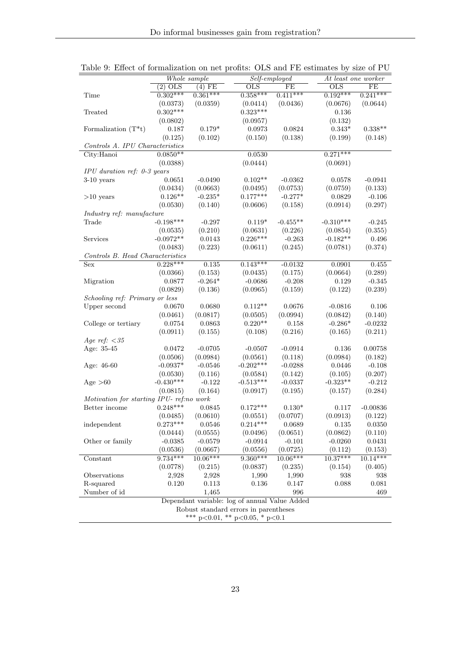|                                          | Whole sample<br>Self-employed |                        |                                               | At least one worker    |                           |                       |  |  |
|------------------------------------------|-------------------------------|------------------------|-----------------------------------------------|------------------------|---------------------------|-----------------------|--|--|
|                                          | $(2)$ OLS                     | $(4)$ FE               | $_{\text{OLS}}$                               | FE                     | $\overline{\mathrm{OLS}}$ | FE                    |  |  |
| Time                                     | $0.302***$                    | $0.361***$             | $0.358***$                                    | $0.411***$             | $0.192***$                | $0.241***$            |  |  |
|                                          | (0.0373)                      | (0.0359)               | (0.0414)                                      | (0.0436)               | (0.0676)                  | (0.0644)              |  |  |
| Treated                                  | $0.302***$                    |                        | $0.323***$                                    |                        | 0.136                     |                       |  |  |
|                                          | (0.0802)                      |                        | (0.0957)                                      |                        | (0.132)                   |                       |  |  |
| Formalization $(T^*t)$                   | 0.187                         | $0.179*$               | 0.0973                                        | 0.0824                 | $0.343*$                  | $0.338**$             |  |  |
|                                          | (0.125)                       | (0.102)                | (0.150)                                       | (0.138)                | (0.199)                   | (0.148)               |  |  |
| Controls A. IPU Characteristics          |                               |                        |                                               |                        |                           |                       |  |  |
| City:Hanoi                               | $0.0850**$                    |                        | 0.0530                                        |                        | $0.271***$                |                       |  |  |
|                                          | (0.0388)                      |                        | (0.0444)                                      |                        | (0.0691)                  |                       |  |  |
| IPU duration ref: 0-3 years              |                               |                        |                                               |                        |                           |                       |  |  |
| $3-10$ years                             | 0.0651                        | $-0.0490$              | $0.102**$                                     | $-0.0362$              | 0.0578                    | $-0.0941$             |  |  |
|                                          | (0.0434)                      | (0.0663)               | (0.0495)                                      | (0.0753)               | (0.0759)                  | (0.133)               |  |  |
| $>10$ years                              | $0.126**$                     | $-0.235*$              | $0.177***$                                    | $-0.277*$              | 0.0829                    | $-0.106$              |  |  |
|                                          | (0.0530)                      | (0.140)                | (0.0606)                                      | (0.158)                | (0.0914)                  | (0.297)               |  |  |
| Industry ref: manufacture                |                               |                        |                                               |                        |                           |                       |  |  |
| Trade                                    | $-0.198***$                   | $-0.297$               | $0.119*$                                      | $-0.455**$             | $-0.310***$               | $-0.245$              |  |  |
|                                          | (0.0535)                      | (0.210)                | (0.0631)                                      | (0.226)                | (0.0854)                  | (0.355)               |  |  |
| Services                                 | $-0.0972**$                   | 0.0143                 | $0.226***$                                    | $-0.263$               | $-0.182**$                | 0.496                 |  |  |
|                                          | (0.0483)                      | (0.223)                | (0.0611)                                      | (0.245)                | (0.0781)                  | (0.374)               |  |  |
| Controls B. Head Characteristics         |                               |                        |                                               |                        |                           |                       |  |  |
| Sex                                      | $0.228***$                    | 0.135                  | $0.143***$                                    | $-0.0132$              | 0.0901                    | 0.455                 |  |  |
|                                          | (0.0366)                      | (0.153)                | (0.0435)                                      | (0.175)                | (0.0664)                  | (0.289)               |  |  |
| Migration                                | 0.0877                        | $-0.264*$              | $-0.0686$                                     | $-0.208$               | 0.129                     | $-0.345$              |  |  |
|                                          | (0.0829)                      | (0.136)                | (0.0965)                                      | (0.159)                | (0.122)                   | (0.239)               |  |  |
| Schooling ref: Primary or less           |                               |                        |                                               |                        |                           |                       |  |  |
| Upper second                             | 0.0670                        | 0.0680                 | $0.112**$                                     | 0.0676                 | $-0.0816$                 | 0.106                 |  |  |
|                                          | (0.0461)                      | (0.0817)               | (0.0505)                                      | (0.0994)               | (0.0842)                  | (0.140)               |  |  |
| College or tertiary                      | 0.0754                        | 0.0863                 | $0.220**$                                     | 0.158                  | $-0.286*$                 | $-0.0232$             |  |  |
|                                          | (0.0911)                      | (0.155)                | (0.108)                                       | (0.216)                | (0.165)                   | (0.211)               |  |  |
| Age ref: $<$ 35                          |                               |                        |                                               |                        |                           |                       |  |  |
| Age: 35-45                               | 0.0472                        | $-0.0705$              | $-0.0507$                                     | $-0.0914$              | 0.136                     | 0.00758               |  |  |
|                                          | (0.0506)                      | (0.0984)               | (0.0561)                                      | (0.118)                | (0.0984)                  | (0.182)               |  |  |
| Age: 46-60                               | $-0.0937*$                    | $-0.0546$              | $-0.202***$                                   | $-0.0288$              | 0.0446                    | $-0.108$              |  |  |
|                                          | (0.0530)                      | (0.116)                | (0.0584)                                      | (0.142)                | (0.105)                   | (0.207)               |  |  |
| Age $>60$                                | $-0.430***$                   | $-0.122$               | $-0.513***$                                   | $-0.0337$              | $-0.323**$                | $-0.212$              |  |  |
|                                          | (0.0815)                      | (0.164)                | (0.0917)                                      | (0.195)                | (0.157)                   | (0.284)               |  |  |
| Motivation for starting IPU- ref:no work |                               |                        |                                               |                        |                           |                       |  |  |
| Better income                            | $0.248***$                    | 0.0845                 | $0.172***$                                    | $0.130*$               | 0.117                     | $-0.00836$            |  |  |
|                                          | (0.0485)                      | (0.0610)               | (0.0551)                                      | (0.0707)               | (0.0913)                  | (0.122)               |  |  |
| independent                              | $0.273***$                    | $\,0.0546\,$           | $0.214***$                                    | 0.0689                 | 0.135                     | 0.0350                |  |  |
|                                          | (0.0444)                      | (0.0555)               | (0.0496)                                      | (0.0651)               | (0.0862)                  | (0.110)               |  |  |
| Other or family                          | $-0.0385$                     | $-0.0579$              | $-0.0914$                                     | $-0.101$               | $-0.0260$                 | 0.0431                |  |  |
|                                          |                               |                        |                                               |                        |                           |                       |  |  |
|                                          | (0.0536)<br>$9.734***$        | (0.0667)<br>$10.06***$ | (0.0556)<br>$9.360***$                        | (0.0725)<br>$10.06***$ | (0.112)<br>$10.37***$     | (0.153)<br>$10.14***$ |  |  |
| Constant                                 |                               |                        |                                               |                        |                           |                       |  |  |
|                                          | (0.0778)                      | (0.215)                | (0.0837)                                      | (0.235)                | (0.154)                   | (0.405)               |  |  |
| Observations                             | 2,928                         | 2,928                  | 1,990                                         | 1,990                  | 938                       | 938                   |  |  |
| R-squared                                | 0.120                         | 0.113                  | 0.136                                         | 0.147                  | 0.088                     | 0.081                 |  |  |
| Number of id                             |                               | 1,465                  |                                               | 996                    |                           | 469                   |  |  |
|                                          |                               |                        | Dependant variable: log of annual Value Added |                        |                           |                       |  |  |
|                                          |                               |                        | Robust standard errors in parentheses         |                        |                           |                       |  |  |
| *** $p<0.01$ , ** $p<0.05$ , * $p<0.1$   |                               |                        |                                               |                        |                           |                       |  |  |

Table 9: Effect of formalization on net profits: OLS and FE estimates by size of PU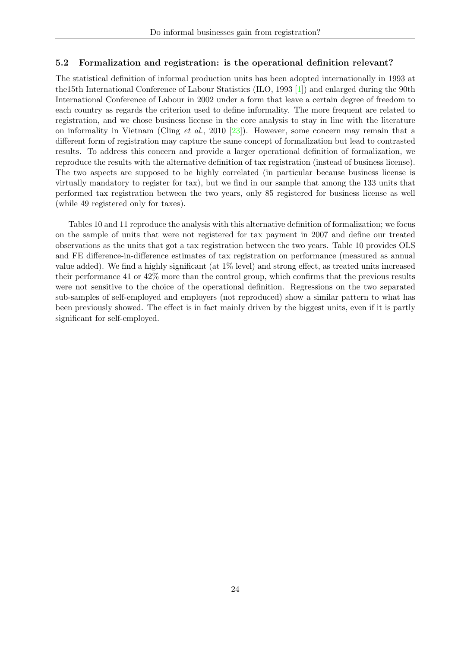### 5.2 Formalization and registration: is the operational definition relevant?

The statistical definition of informal production units has been adopted internationally in 1993 at the15th International Conference of Labour Statistics (ILO, 1993 [\[1\]](#page-30-2)) and enlarged during the 90th International Conference of Labour in 2002 under a form that leave a certain degree of freedom to each country as regards the criterion used to define informality. The more frequent are related to registration, and we chose business license in the core analysis to stay in line with the literature on informality in Vietnam (Cling et al., 2010 [\[23\]](#page-30-5)). However, some concern may remain that a different form of registration may capture the same concept of formalization but lead to contrasted results. To address this concern and provide a larger operational definition of formalization, we reproduce the results with the alternative definition of tax registration (instead of business license). The two aspects are supposed to be highly correlated (in particular because business license is virtually mandatory to register for tax), but we find in our sample that among the 133 units that performed tax registration between the two years, only 85 registered for business license as well (while 49 registered only for taxes).

Tables 10 and 11 reproduce the analysis with this alternative definition of formalization; we focus on the sample of units that were not registered for tax payment in 2007 and define our treated observations as the units that got a tax registration between the two years. Table 10 provides OLS and FE difference-in-difference estimates of tax registration on performance (measured as annual value added). We find a highly significant (at 1% level) and strong effect, as treated units increased their performance 41 or 42% more than the control group, which confirms that the previous results were not sensitive to the choice of the operational definition. Regressions on the two separated sub-samples of self-employed and employers (not reproduced) show a similar pattern to what has been previously showed. The effect is in fact mainly driven by the biggest units, even if it is partly significant for self-employed.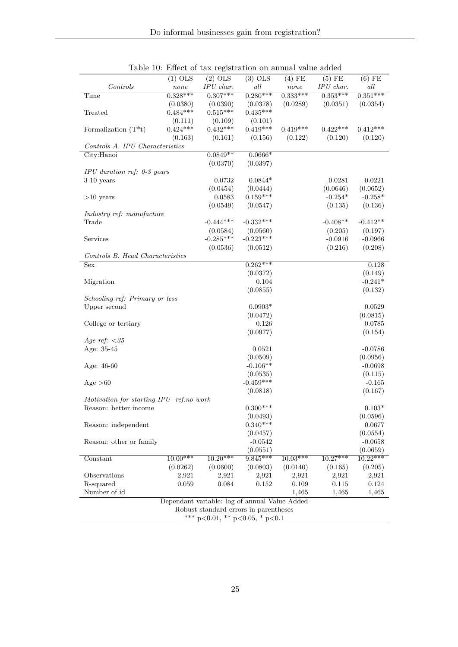|                                                                   |                        |                                               | $(3)$ OLS               |                    | $(5)$ FE                |                       |
|-------------------------------------------------------------------|------------------------|-----------------------------------------------|-------------------------|--------------------|-------------------------|-----------------------|
| Controls                                                          | $(1)$ OLS              | $(2)$ OLS                                     | all                     | $(4)$ FE           |                         | $(6)$ FE              |
|                                                                   | none<br>$0.328***$     | IPU char.<br>$0.307***$                       | $0.280***$              | none<br>$0.333***$ | IPU char.<br>$0.353***$ | all<br>$0.351***$     |
| Time                                                              |                        |                                               |                         | (0.0289)           | (0.0351)                | (0.0354)              |
| Treated                                                           | (0.0380)<br>$0.484***$ | (0.0390)<br>$0.515***$                        | (0.0378)<br>$0.435***$  |                    |                         |                       |
|                                                                   |                        |                                               |                         |                    |                         |                       |
|                                                                   | (0.111)<br>$0.424***$  | (0.109)<br>$0.432***$                         | (0.101)<br>$0.419***$   | $0.419***$         | $0.422***$              | $0.412***$            |
| Formalization $(T^*t)$                                            |                        |                                               |                         |                    |                         |                       |
|                                                                   | (0.163)                | (0.161)                                       | (0.156)                 | (0.122)            | (0.120)                 | (0.120)               |
| Controls A. IPU Characteristics                                   |                        | $0.0849**$                                    |                         |                    |                         |                       |
| City:Hanoi                                                        |                        |                                               | $0.0666*$               |                    |                         |                       |
|                                                                   |                        | (0.0370)                                      | (0.0397)                |                    |                         |                       |
| $IPU$ duration ref: 0-3 years                                     |                        |                                               | $0.0844*$               |                    |                         |                       |
| $3-10$ years                                                      |                        | 0.0732                                        |                         |                    | $-0.0281$               | $-0.0221$             |
|                                                                   |                        | (0.0454)<br>0.0583                            | (0.0444)<br>$0.159***$  |                    | (0.0646)<br>$-0.254*$   | (0.0652)<br>$-0.258*$ |
| $>10$ years                                                       |                        | (0.0549)                                      | (0.0547)                |                    | (0.135)                 | (0.136)               |
|                                                                   |                        |                                               |                         |                    |                         |                       |
| Industry ref: manufacture<br>Trade                                |                        | $-0.444***$                                   | $-0.332***$             |                    | $-0.408**$              | $-0.412**$            |
|                                                                   |                        |                                               |                         |                    |                         |                       |
|                                                                   |                        | (0.0584)<br>$-0.285***$                       | (0.0560)<br>$-0.223***$ |                    | (0.205)                 | (0.197)               |
| Services                                                          |                        |                                               |                         |                    | $-0.0916$               | $-0.0966$             |
|                                                                   |                        | (0.0536)                                      | (0.0512)                |                    | (0.216)                 | (0.208)               |
| Controls B. Head Characteristics                                  |                        |                                               | $0.262***$              |                    |                         |                       |
| <b>Sex</b>                                                        |                        |                                               |                         |                    |                         | 0.128                 |
|                                                                   |                        |                                               | (0.0372)                |                    |                         | (0.149)<br>$-0.241*$  |
| Migration                                                         |                        |                                               | 0.104                   |                    |                         |                       |
|                                                                   |                        |                                               | (0.0855)                |                    |                         | (0.132)               |
| Schooling ref: Primary or less                                    |                        |                                               | $0.0903*$               |                    |                         |                       |
| Upper second                                                      |                        |                                               | (0.0472)                |                    |                         | 0.0529<br>(0.0815)    |
|                                                                   |                        |                                               | 0.126                   |                    |                         | 0.0785                |
| College or tertiary                                               |                        |                                               |                         |                    |                         |                       |
| Age ref: $<35$                                                    |                        |                                               | (0.0977)                |                    |                         | (0.154)               |
| Age: 35-45                                                        |                        |                                               | 0.0521                  |                    |                         | $-0.0786$             |
|                                                                   |                        |                                               |                         |                    |                         |                       |
|                                                                   |                        |                                               | (0.0509)<br>$-0.106**$  |                    |                         | (0.0956)<br>$-0.0698$ |
| Age: 46-60                                                        |                        |                                               | (0.0535)                |                    |                         | (0.115)               |
|                                                                   |                        |                                               | $-0.459***$             |                    |                         | $-0.165$              |
| Age $>60$                                                         |                        |                                               |                         |                    |                         |                       |
|                                                                   |                        |                                               | (0.0818)                |                    |                         | (0.167)               |
| Motivation for starting IPU- ref.no work<br>Reason: better income |                        |                                               | $0.300***$              |                    |                         | $0.103*$              |
|                                                                   |                        |                                               |                         |                    |                         |                       |
|                                                                   |                        |                                               | (0.0493)                |                    |                         | (0.0596)              |
| Reason: independent                                               |                        |                                               | $0.340***$              |                    |                         | 0.0677                |
|                                                                   |                        |                                               | (0.0457)                |                    |                         | (0.0554)              |
| Reason: other or family                                           |                        |                                               | $-0.0542$               |                    |                         | $-0.0658$             |
|                                                                   |                        |                                               | (0.0551)                |                    |                         | (0.0659)              |
| Constant                                                          | 10.00***               | $10.20***$                                    | $9.845***$              | $10.03***$         | $10.27***$              | $10.22***$            |
|                                                                   | (0.0262)               | (0.0600)                                      | (0.0803)                | (0.0140)           | (0.165)                 | (0.205)               |
| Observations                                                      | 2,921                  | 2,921                                         | 2,921                   | 2,921              | 2,921                   | 2,921                 |
| R-squared                                                         | 0.059                  | 0.084                                         | 0.152                   | 0.109              | 0.115                   | 0.124                 |
| Number of id                                                      |                        |                                               |                         | 1,465              | 1,465                   | 1,465                 |
|                                                                   |                        | Dependant variable: log of annual Value Added |                         |                    |                         |                       |
|                                                                   |                        | Robust standard errors in parentheses         |                         |                    |                         |                       |
|                                                                   |                        | *** $p<0.01$ , ** $p<0.05$ , * $p<0.1$        |                         |                    |                         |                       |

Table 10: Effect of tax registration on annual value added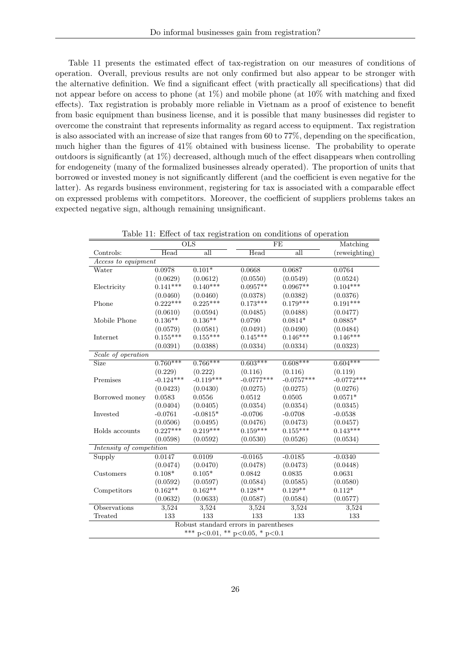Table 11 presents the estimated effect of tax-registration on our measures of conditions of operation. Overall, previous results are not only confirmed but also appear to be stronger with the alternative definition. We find a significant effect (with practically all specifications) that did not appear before on access to phone (at  $1\%$ ) and mobile phone (at  $10\%$  with matching and fixed effects). Tax registration is probably more reliable in Vietnam as a proof of existence to benefit from basic equipment than business license, and it is possible that many businesses did register to overcome the constraint that represents informality as regard access to equipment. Tax registration is also associated with an increase of size that ranges from 60 to 77%, depending on the specification, much higher than the figures of 41% obtained with business license. The probability to operate outdoors is significantly (at 1%) decreased, although much of the effect disappears when controlling for endogeneity (many of the formalized businesses already operated). The proportion of units that borrowed or invested money is not significantly different (and the coefficient is even negative for the latter). As regards business environment, registering for tax is associated with a comparable effect on expressed problems with competitors. Moreover, the coefficient of suppliers problems takes an expected negative sign, although remaining unsignificant.

|                          |             | <b>OLS</b>                             |              | FE           | Matching      |
|--------------------------|-------------|----------------------------------------|--------------|--------------|---------------|
| Controls:                | Head        | all                                    | Head         | all          | (reweighting) |
| Access to equipment      |             |                                        |              |              |               |
| Water                    | 0.0978      | $0.101*$                               | 0.0668       | 0.0687       | 0.0764        |
|                          | (0.0629)    | (0.0612)                               | (0.0550)     | (0.0549)     | (0.0524)      |
| Electricity              | $0.141***$  | $0.140***$                             | $0.0957**$   | $0.0967**$   | $0.104***$    |
|                          | (0.0460)    | (0.0460)                               | (0.0378)     | (0.0382)     | (0.0376)      |
| Phone                    | $0.222***$  | $0.225***$                             | $0.173***$   | $0.179***$   | $0.191***$    |
|                          | (0.0610)    | (0.0594)                               | (0.0485)     | (0.0488)     | (0.0477)      |
| Mobile Phone             | $0.136**$   | $0.136**$                              | 0.0790       | $0.0814*$    | $0.0885*$     |
|                          | (0.0579)    | (0.0581)                               | (0.0491)     | (0.0490)     | (0.0484)      |
| Internet                 | $0.155***$  | $0.155***$                             | $0.145***$   | $0.146***$   | $0.146***$    |
|                          | (0.0391)    | (0.0388)                               | (0.0334)     | (0.0334)     | (0.0323)      |
| Scale of operation       |             |                                        |              |              |               |
| Size                     | $0.760***$  | $0.766***$                             | $0.603***$   | $0.608***$   | $0.604***$    |
|                          | (0.229)     | (0.222)                                | (0.116)      | (0.116)      | (0.119)       |
| Premises                 | $-0.124***$ | $-0.119***$                            | $-0.0777***$ | $-0.0757***$ | $-0.0772***$  |
|                          | (0.0423)    | (0.0430)                               | (0.0275)     | (0.0275)     | (0.0276)      |
| Borrowed money           | 0.0583      | 0.0556                                 | 0.0512       | 0.0505       | $0.0571*$     |
|                          | (0.0404)    | (0.0405)                               | (0.0354)     | (0.0354)     | (0.0345)      |
| Invested                 | $-0.0761$   | $-0.0815*$                             | $-0.0706$    | $-0.0708$    | $-0.0538$     |
|                          | (0.0506)    | (0.0495)                               | (0.0476)     | (0.0473)     | (0.0457)      |
| Holds accounts           | $0.227***$  | $0.219***$                             | $0.159***$   | $0.155***$   | $0.143***$    |
|                          | (0.0598)    | (0.0592)                               | (0.0530)     | (0.0526)     | (0.0534)      |
| Intensity of competition |             |                                        |              |              |               |
| Supply                   | 0.0147      | 0.0109                                 | $-0.0165$    | $-0.0185$    | $-0.0340$     |
|                          | (0.0474)    | (0.0470)                               | (0.0478)     | (0.0473)     | (0.0448)      |
| Customers                | $0.108*$    | $0.105*$                               | 0.0842       | 0.0835       | 0.0631        |
|                          | (0.0592)    | (0.0597)                               | (0.0584)     | (0.0585)     | (0.0580)      |
| Competitors              | $0.162**$   | $0.162**$                              | $0.128**$    | $0.129**$    | $0.112*$      |
|                          | (0.0632)    | (0.0633)                               | (0.0587)     | (0.0584)     | (0.0577)      |
| Observations             | 3,524       | 3,524                                  | 3,524        | 3,524        | 3,524         |
| Treated                  | 133         | 133                                    | 133          | 133          | $133\,$       |
|                          |             | Robust standard errors in parentheses  |              |              |               |
|                          |             | *** $p<0.01$ , ** $p<0.05$ , * $p<0.1$ |              |              |               |

Table 11: Effect of tax registration on conditions of operation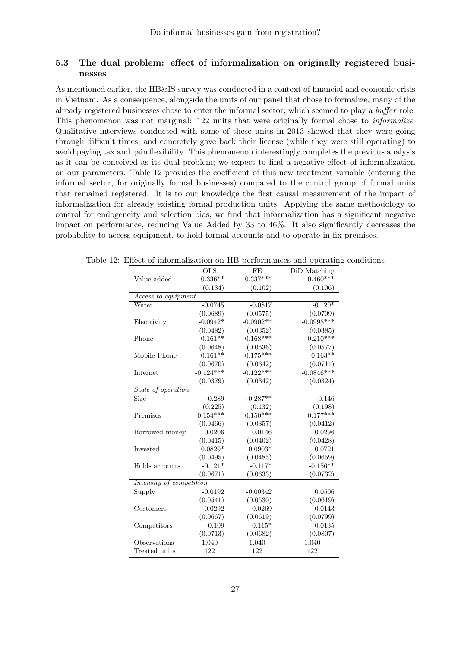### 5.3 The dual problem: effect of informalization on originally registered businesses

As mentioned earlier, the HB&IS survey was conducted in a context of financial and economic crisis in Vietnam. As a consequence, alongside the units of our panel that chose to formalize, many of the already registered businesses chose to enter the informal sector, which seemed to play a buffer role. This phenomenon was not marginal: 122 units that were originally formal chose to informalize. Qualitative interviews conducted with some of these units in 2013 showed that they were going through difficult times, and concretely gave back their license (while they were still operating) to avoid paying tax and gain flexibility. This phenomenon interestingly completes the previous analysis as it can be conceived as its dual problem; we expect to find a negative effect of informalization on our parameters. Table 12 provides the coefficient of this new treatment variable (entering the informal sector, for originally formal businesses) compared to the control group of formal units that remained registered. It is to our knowledge the first causal measurement of the impact of informalization for already existing formal production units. Applying the same methodology to control for endogeneity and selection bias, we find that informalization has a significant negative impact on performance, reducing Value Added by 33 to 46%. It also significantly decreases the probability to access equipment, to hold formal accounts and to operate in fix premises.

|                          | $O\overline{LS}$ | FE          | DiD Matching |  |  |  |  |  |
|--------------------------|------------------|-------------|--------------|--|--|--|--|--|
| Value added              | $-0.336**$       | $-0.337***$ | $-0.460***$  |  |  |  |  |  |
|                          | (0.134)          | (0.102)     | (0.106)      |  |  |  |  |  |
| Access to equipment      |                  |             |              |  |  |  |  |  |
| Water                    | $-0.0745$        | $-0.0817$   | $-0.120*$    |  |  |  |  |  |
|                          | (0.0689)         | (0.0575)    | (0.0709)     |  |  |  |  |  |
| Electrivity              | $-0.0942*$       | $-0.0902**$ | $-0.0998***$ |  |  |  |  |  |
|                          | (0.0482)         | (0.0352)    | (0.0385)     |  |  |  |  |  |
| Phone                    | $-0.161**$       | $-0.168***$ | $-0.210***$  |  |  |  |  |  |
|                          | (0.0648)         | (0.0536)    | (0.0577)     |  |  |  |  |  |
| Mobile Phone             | $-0.161**$       | $-0.175***$ | $-0.163**$   |  |  |  |  |  |
|                          | (0.0670)         | (0.0642)    | (0.0711)     |  |  |  |  |  |
| Internet                 | $-0.124***$      | $-0.122***$ | $-0.0846***$ |  |  |  |  |  |
|                          | (0.0379)         | (0.0342)    | (0.0324)     |  |  |  |  |  |
| Scale of operation       |                  |             |              |  |  |  |  |  |
| <b>Size</b>              | $-0.289$         | $-0.287**$  | $-0.146$     |  |  |  |  |  |
|                          | (0.225)          | (0.132)     | (0.198)      |  |  |  |  |  |
| Premises                 | $0.154***$       | $0.150***$  | $0.177***$   |  |  |  |  |  |
|                          | (0.0466)         | (0.0357)    | (0.0412)     |  |  |  |  |  |
| Borrowed money           | $-0.0206$        | $-0.0146$   | $-0.0296$    |  |  |  |  |  |
|                          | (0.0415)         | (0.0402)    | (0.0428)     |  |  |  |  |  |
| Invested                 | $0.0829*$        | $0.0903*$   | 0.0721       |  |  |  |  |  |
|                          | (0.0495)         | (0.0485)    | (0.0659)     |  |  |  |  |  |
| Holds accounts           | $-0.121*$        | $-0.117*$   | $-0.156**$   |  |  |  |  |  |
|                          | (0.0671)         | (0.0633)    | (0.0732)     |  |  |  |  |  |
| Intensity of competition |                  |             |              |  |  |  |  |  |
| Supply                   | $-0.0192$        | $-0.00342$  | 0.0506       |  |  |  |  |  |
|                          | (0.0541)         | (0.0530)    | (0.0619)     |  |  |  |  |  |
| Customers                | $-0.0292$        | $-0.0269$   | 0.0143       |  |  |  |  |  |
|                          | (0.0667)         | (0.0619)    | (0.0799)     |  |  |  |  |  |
| Competitors              | $-0.109$         | $-0.115*$   | 0.0135       |  |  |  |  |  |
|                          | (0.0713)         | (0.0682)    | (0.0807)     |  |  |  |  |  |
| Observations             | 1,040            | 1,040       | 1,040        |  |  |  |  |  |
| Treated units            | 122              | 122         | 122          |  |  |  |  |  |

Table 12: Effect of informalization on HB performances and operating conditions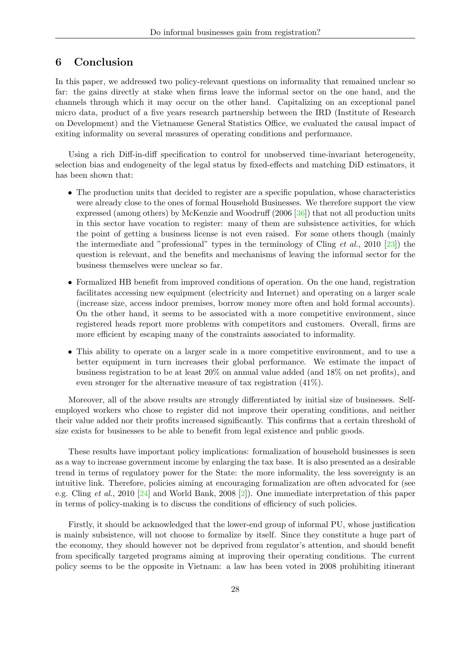# 6 Conclusion

In this paper, we addressed two policy-relevant questions on informality that remained unclear so far: the gains directly at stake when firms leave the informal sector on the one hand, and the channels through which it may occur on the other hand. Capitalizing on an exceptional panel micro data, product of a five years research partnership between the IRD (Institute of Research on Development) and the Vietnamese General Statistics Office, we evaluated the causal impact of exiting informality on several measures of operating conditions and performance.

Using a rich Diff-in-diff specification to control for unobserved time-invariant heterogeneity, selection bias and endogeneity of the legal status by fixed-effects and matching DiD estimators, it has been shown that:

- The production units that decided to register are a specific population, whose characteristics were already close to the ones of formal Household Businesses. We therefore support the view expressed (among others) by McKenzie and Woodruff (2006 [\[36\]](#page-31-23)) that not all production units in this sector have vocation to register: many of them are subsistence activities, for which the point of getting a business license is not even raised. For some others though (mainly the intermediate and "professional" types in the terminology of Cling  $et al., 2010 [23])$  $et al., 2010 [23])$  $et al., 2010 [23])$  the question is relevant, and the benefits and mechanisms of leaving the informal sector for the business themselves were unclear so far.
- Formalized HB benefit from improved conditions of operation. On the one hand, registration facilitates accessing new equipment (electricity and Internet) and operating on a larger scale (increase size, access indoor premises, borrow money more often and hold formal accounts). On the other hand, it seems to be associated with a more competitive environment, since registered heads report more problems with competitors and customers. Overall, firms are more efficient by escaping many of the constraints associated to informality.
- This ability to operate on a larger scale in a more competitive environment, and to use a better equipment in turn increases their global performance. We estimate the impact of business registration to be at least 20% on annual value added (and 18% on net profits), and even stronger for the alternative measure of tax registration (41%).

Moreover, all of the above results are strongly differentiated by initial size of businesses. Selfemployed workers who chose to register did not improve their operating conditions, and neither their value added nor their profits increased significantly. This confirms that a certain threshold of size exists for businesses to be able to benefit from legal existence and public goods.

These results have important policy implications: formalization of household businesses is seen as a way to increase government income by enlarging the tax base. It is also presented as a desirable trend in terms of regulatory power for the State: the more informality, the less sovereignty is an intuitive link. Therefore, policies aiming at encouraging formalization are often advocated for (see e.g. Cling et al., 2010 [\[24\]](#page-30-24) and World Bank, 2008 [\[2\]](#page-30-14)). One immediate interpretation of this paper in terms of policy-making is to discuss the conditions of efficiency of such policies.

Firstly, it should be acknowledged that the lower-end group of informal PU, whose justification is mainly subsistence, will not choose to formalize by itself. Since they constitute a huge part of the economy, they should however not be deprived from regulator's attention, and should benefit from specifically targeted programs aiming at improving their operating conditions. The current policy seems to be the opposite in Vietnam: a law has been voted in 2008 prohibiting itinerant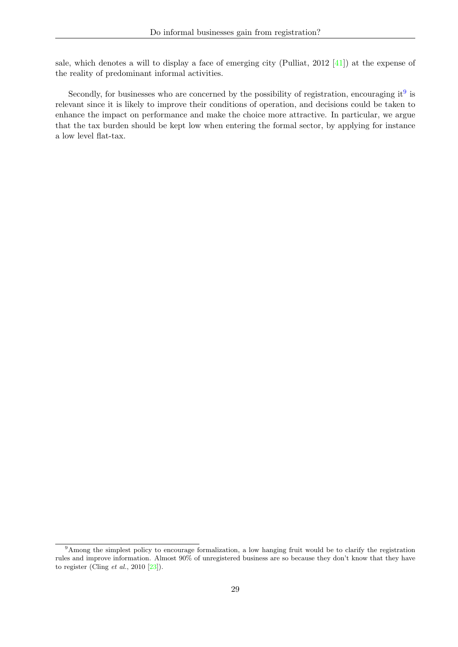sale, which denotes a will to display a face of emerging city (Pulliat, 2012 [\[41\]](#page-31-24)) at the expense of the reality of predominant informal activities.

Secondly, for businesses who are concerned by the possibility of registration, encouraging it<sup>[9](#page-29-0)</sup> is relevant since it is likely to improve their conditions of operation, and decisions could be taken to enhance the impact on performance and make the choice more attractive. In particular, we argue that the tax burden should be kept low when entering the formal sector, by applying for instance a low level flat-tax.

<span id="page-29-0"></span><sup>&</sup>lt;sup>9</sup>Among the simplest policy to encourage formalization, a low hanging fruit would be to clarify the registration rules and improve information. Almost 90% of unregistered business are so because they don't know that they have to register (Cling  $et$   $al., 2010 [23]$  $al., 2010 [23]$ ).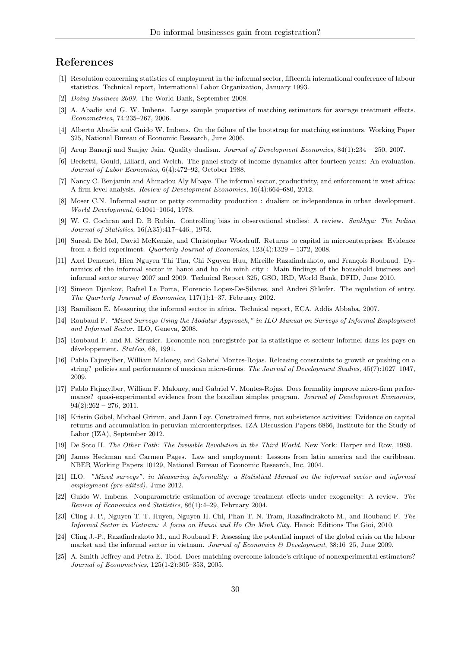# References

- <span id="page-30-2"></span>[1] Resolution concerning statistics of employment in the informal sector, fifteenth international conference of labour statistics. Technical report, International Labor Organization, January 1993.
- <span id="page-30-14"></span>[2] Doing Business 2009. The World Bank, September 2008.
- <span id="page-30-23"></span>[3] A. Abadie and G. W. Imbens. Large sample properties of matching estimators for average treatment effects. Econometrica, 74:235–267, 2006.
- <span id="page-30-22"></span>[4] Alberto Abadie and Guido W. Imbens. On the failure of the bootstrap for matching estimators. Working Paper 325, National Bureau of Economic Research, June 2006.
- <span id="page-30-10"></span>[5] Arup Banerji and Sanjay Jain. Quality dualism. Journal of Development Economics, 84(1):234 – 250, 2007.
- <span id="page-30-17"></span>[6] Becketti, Gould, Lillard, and Welch. The panel study of income dynamics after fourteen years: An evaluation. Journal of Labor Economics, 6(4):472–92, October 1988.
- <span id="page-30-7"></span>[7] Nancy C. Benjamin and Ahmadou Aly Mbaye. The informal sector, productivity, and enforcement in west africa: A firm-level analysis. Review of Development Economics, 16(4):664–680, 2012.
- <span id="page-30-6"></span>[8] Moser C.N. Informal sector or petty commodity production : dualism or independence in urban development. World Development, 6:1041–1064, 1978.
- <span id="page-30-20"></span>[9] W. G. Cochran and D. B Rubin. Controlling bias in observational studies: A review. Sankhya: The Indian Journal of Statistics, 16(A35):417–446., 1973.
- <span id="page-30-9"></span>[10] Suresh De Mel, David McKenzie, and Christopher Woodruff. Returns to capital in microenterprises: Evidence from a field experiment. Quarterly Journal of Economics,  $123(4):1329 - 1372$ ,  $2008$ .
- <span id="page-30-18"></span>[11] Axel Demenet, Hien Nguyen Thi Thu, Chi Nguyen Huu, Mireille Razafindrakoto, and François Roubaud. Dynamics of the informal sector in hanoi and ho chi minh city : Main findings of the household business and informal sector survey 2007 and 2009. Technical Report 325, GSO, IRD, World Bank, DFID, June 2010.
- <span id="page-30-1"></span>[12] Simeon Djankov, Rafael La Porta, Florencio Lopez-De-Silanes, and Andrei Shleifer. The regulation of entry. The Quarterly Journal of Economics, 117(1):1–37, February 2002.
- <span id="page-30-15"></span>[13] Ramilison E. Measuring the informal sector in africa. Technical report, ECA, Addis Abbaba, 2007.
- <span id="page-30-4"></span>[14] Roubaud F. "Mixed Surveys Using the Modular Approach," in ILO Manual on Surveys of Informal Employment and Informal Sector. ILO, Geneva, 2008.
- <span id="page-30-3"></span>[15] Roubaud F. and M. Séruzier. Economie non enregistrée par la statistique et secteur informel dans les pays en développement. Statéco, 68, 1991.
- <span id="page-30-12"></span>[16] Pablo Fajnzylber, William Maloney, and Gabriel Montes-Rojas. Releasing constraints to growth or pushing on a string? policies and performance of mexican micro-firms. The Journal of Development Studies, 45(7):1027–1047, 2009.
- <span id="page-30-13"></span>[17] Pablo Fajnzylber, William F. Maloney, and Gabriel V. Montes-Rojas. Does formality improve micro-firm performance? quasi-experimental evidence from the brazilian simples program. Journal of Development Economics,  $94(2):262 - 276$ , 2011.
- <span id="page-30-8"></span>[18] Kristin Göbel, Michael Grimm, and Jann Lay. Constrained firms, not subsistence activities: Evidence on capital returns and accumulation in peruvian microenterprises. IZA Discussion Papers 6866, Institute for the Study of Labor (IZA), September 2012.
- <span id="page-30-0"></span>[19] De Soto H. The Other Path: The Invisible Revolution in the Third World. New York: Harper and Row, 1989.
- <span id="page-30-11"></span>[20] James Heckman and Carmen Pages. Law and employment: Lessons from latin america and the caribbean. NBER Working Papers 10129, National Bureau of Economic Research, Inc, 2004.
- <span id="page-30-16"></span>[21] ILO. "Mixed surveys", in Measuring informality: a Statistical Manual on the informal sector and informal employment (pre-edited). June 2012.
- <span id="page-30-21"></span>[22] Guido W. Imbens. Nonparametric estimation of average treatment effects under exogeneity: A review. The Review of Economics and Statistics, 86(1):4–29, February 2004.
- <span id="page-30-5"></span>[23] Cling J.-P., Nguyen T. T. Huyen, Nguyen H. Chi, Phan T. N. Tram, Razafindrakoto M., and Roubaud F. The Informal Sector in Vietnam: A focus on Hanoi and Ho Chi Minh City. Hanoi: Editions The Gioi, 2010.
- <span id="page-30-24"></span>[24] Cling J.-P., Razafindrakoto M., and Roubaud F. Assessing the potential impact of the global crisis on the labour market and the informal sector in vietnam. Journal of Economics & Development, 38:16-25, June 2009.
- <span id="page-30-19"></span>[25] A. Smith Jeffrey and Petra E. Todd. Does matching overcome lalonde's critique of nonexperimental estimators? Journal of Econometrics, 125(1-2):305–353, 2005.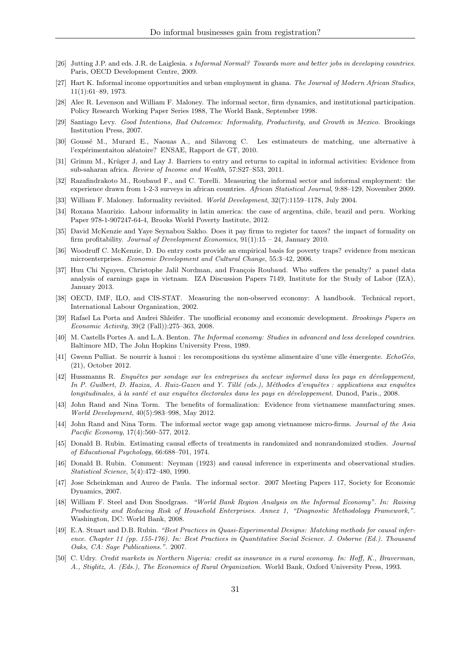- <span id="page-31-9"></span>[26] Jutting J.P. and eds. J.R. de Laiglesia. s Informal Normal? Towards more and better jobs in developing countries. Paris, OECD Development Centre, 2009.
- <span id="page-31-8"></span>[27] Hart K. Informal income opportunities and urban employment in ghana. The Journal of Modern African Studies, 11(1):61–89, 1973.
- <span id="page-31-17"></span>[28] Alec R. Levenson and William F. Maloney. The informal sector, firm dynamics, and institutional participation. Policy Research Working Paper Series 1988, The World Bank, September 1998.
- <span id="page-31-10"></span>[29] Santiago Levy. Good Intentions, Bad Outcomes: Informality, Productivity, and Growth in Mexico. Brookings Institution Press, 2007.
- <span id="page-31-20"></span>[30] Goussé M., Murard E., Naouas A., and Silavong C. Les estimateurs de matching, une alternative à l'expérimentaiton aléatoire? ENSAE, Rapport de GT, 2010.
- <span id="page-31-12"></span>[31] Grimm M., Krüger J, and Lay J. Barriers to entry and returns to capital in informal activities: Evidence from sub-saharan africa. Review of Income and Wealth, 57:S27–S53, 2011.
- <span id="page-31-0"></span>[32] Razafindrakoto M., Roubaud F., and C. Torelli. Measuring the informal sector and informal employment: the experience drawn from 1-2-3 surveys in african countries. African Statistical Journal, 9:88–129, November 2009.
- <span id="page-31-3"></span>[33] William F. Maloney. Informality revisited. World Development, 32(7):1159–1178, July 2004.
- <span id="page-31-14"></span>[34] Roxana Maurizio. Labour informality in latin america: the case of argentina, chile, brazil and peru. Working Paper 978-1-907247-64-4, Brooks World Poverty Institute, 2012.
- <span id="page-31-6"></span>[35] David McKenzie and Yaye Seynabou Sakho. Does it pay firms to register for taxes? the impact of formality on firm profitability. Journal of Development Economics, 91(1):15 – 24, January 2010.
- <span id="page-31-23"></span>[36] Woodruff C. McKenzie, D. Do entry costs provide an empirical basis for poverty traps? evidence from mexican microenterprises. Economic Development and Cultural Change, 55:3–42, 2006.
- <span id="page-31-16"></span>[37] Huu Chi Nguyen, Christophe Jalil Nordman, and François Roubaud. Who suffers the penalty? a panel data analysis of earnings gaps in vietnam. IZA Discussion Papers 7149, Institute for the Study of Labor (IZA), January 2013.
- <span id="page-31-19"></span>[38] OECD, IMF, ILO, and CIS-STAT. Measuring the non-observed economy: A handbook. Technical report, International Labour Organization, 2002.
- <span id="page-31-11"></span>[39] Rafael La Porta and Andrei Shleifer. The unofficial economy and economic development. Brookings Papers on Economic Activity, 39(2 (Fall)):275–363, 2008.
- <span id="page-31-7"></span>[40] M. Castells Portes A. and L.A. Benton. The Informal economy: Studies in advanced and less developed countries. Baltimore MD, The John Hopkins University Press, 1989.
- <span id="page-31-24"></span>[41] Gwenn Pulliat. Se nourrir à hanoi : les recompositions du système alimentaire d'une ville émergente.  $EchoGéo$ , (21), October 2012.
- <span id="page-31-5"></span>[42] Hussmanns R. Enquêtes par sondage sur les entreprises du secteur informel dans les pays en développement, In P. Guilbert, D. Haziza, A. Ruiz-Gazen and Y. Tillé (eds.), Méthodes d'enquêtes : applications aux enquêtes longitudinales, à la santé et aux enquêtes électorales dans les pays en développement. Dunod, Paris., 2008.
- <span id="page-31-18"></span>[43] John Rand and Nina Torm. The benefits of formalization: Evidence from vietnamese manufacturing smes. World Development, 40(5):983–998, May 2012.
- <span id="page-31-15"></span>[44] John Rand and Nina Torm. The informal sector wage gap among vietnamese micro-firms. Journal of the Asia Pacific Economy, 17(4):560–577, 2012.
- <span id="page-31-1"></span>[45] Donald B. Rubin. Estimating causal effects of treatments in randomized and nonrandomized studies. Journal of Educational Psychology, 66:688–701, 1974.
- <span id="page-31-2"></span>[46] Donald B. Rubin. Comment: Neyman (1923) and causal inference in experiments and observational studies. Statistical Science, 5(4):472–480, 1990.
- <span id="page-31-4"></span>[47] Jose Scheinkman and Aureo de Paula. The informal sector. 2007 Meeting Papers 117, Society for Economic Dynamics, 2007.
- <span id="page-31-22"></span>[48] William F. Steel and Don Snodgrass. "World Bank Region Analysis on the Informal Economy". In: Raising Productivity and Reducing Risk of Household Enterprises. Annex 1, "Diagnostic Methodology Framework,". Washington, DC: World Bank, 2008.
- <span id="page-31-21"></span>[49] E.A. Stuart and D.B. Rubin. "Best Practices in Quasi-Experimental Designs: Matching methods for causal inference. Chapter 11 (pp. 155-176). In: Best Practices in Quantitative Social Science. J. Osborne (Ed.). Thousand Oaks, CA: Sage Publications.". 2007.
- <span id="page-31-13"></span>[50] C. Udry. Credit markets in Northern Nigeria: credit as insurance in a rural economy. In: Hoff, K., Braverman, A., Stiglitz, A. (Eds.), The Economics of Rural Organization. World Bank, Oxford University Press, 1993.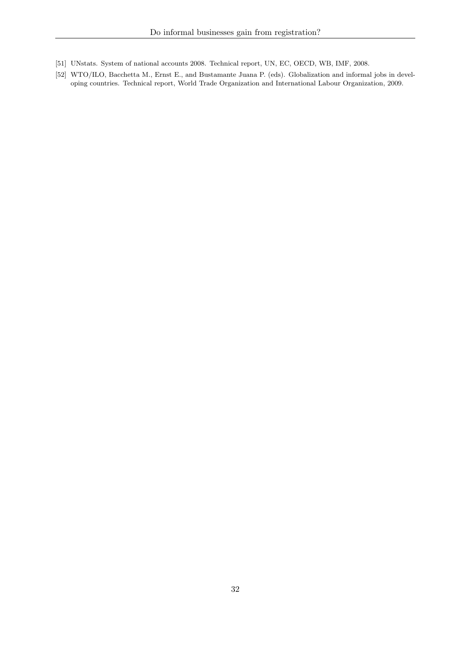- <span id="page-32-1"></span>[51] UNstats. System of national accounts 2008. Technical report, UN, EC, OECD, WB, IMF, 2008.
- <span id="page-32-0"></span>[52] WTO/ILO, Bacchetta M., Ernst E., and Bustamante Juana P. (eds). Globalization and informal jobs in developing countries. Technical report, World Trade Organization and International Labour Organization, 2009.